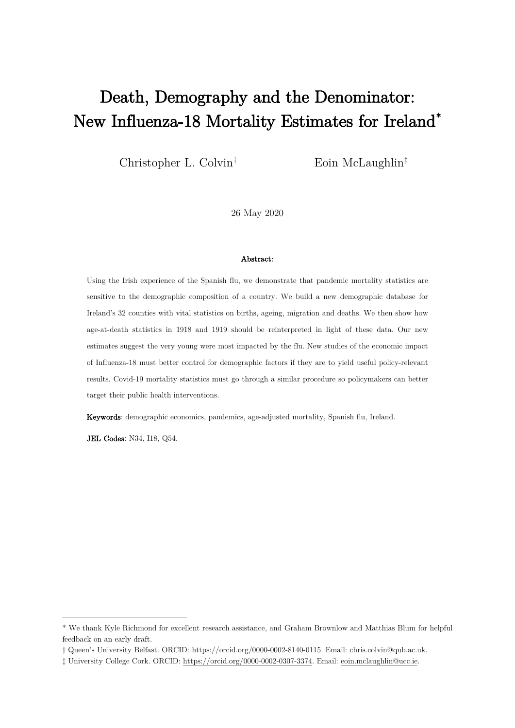# Death, Demography and the Denominator: New Influenza-18 Mortality Estimates for Ireland[\\*](#page-0-0)

Christopher L. Colvin<sup>[†](#page-0-1)</sup> Eoin McLaughlin<sup>[‡](#page-0-2)</sup>

26 May 2020

#### Abstract:

Using the Irish experience of the Spanish flu, we demonstrate that pandemic mortality statistics are sensitive to the demographic composition of a country. We build a new demographic database for Ireland's 32 counties with vital statistics on births, ageing, migration and deaths. We then show how age-at-death statistics in 1918 and 1919 should be reinterpreted in light of these data. Our new estimates suggest the very young were most impacted by the flu. New studies of the economic impact of Influenza-18 must better control for demographic factors if they are to yield useful policy-relevant results. Covid-19 mortality statistics must go through a similar procedure so policymakers can better target their public health interventions.

Keywords: demographic economics, pandemics, age-adjusted mortality, Spanish flu, Ireland.

JEL Codes: N34, I18, Q54.

<span id="page-0-0"></span><sup>\*</sup> We thank Kyle Richmond for excellent research assistance, and Graham Brownlow and Matthias Blum for helpful feedback on an early draft.

<span id="page-0-1"></span><sup>†</sup> Queen's University Belfast. ORCID: [https://orcid.org/0000-0002-8140-0115.](https://orcid.org/0000-0002-8140-0115) Email: [chris.colvin@qub.ac.uk.](mailto:chris.colvin@qub.ac.uk)

<span id="page-0-2"></span><sup>‡</sup> University College Cork. ORCID: [https://orcid.org/0000-0002-0307-3374.](https://orcid.org/0000-0002-0307-3374) Email: [eoin.mclaughlin@ucc.ie.](mailto:eoin.mclaughlin@ucc.ie)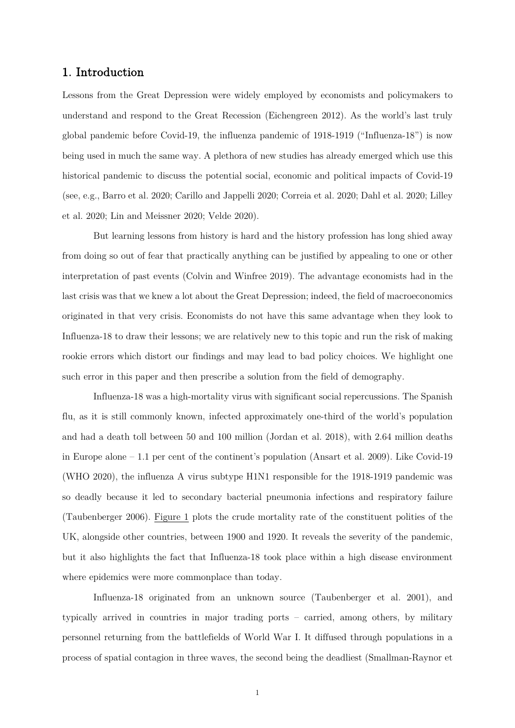## 1. Introduction

Lessons from the Great Depression were widely employed by economists and policymakers to understand and respond to the Great Recession (Eichengreen 2012). As the world's last truly global pandemic before Covid-19, the influenza pandemic of 1918-1919 ("Influenza-18") is now being used in much the same way. A plethora of new studies has already emerged which use this historical pandemic to discuss the potential social, economic and political impacts of Covid-19 (see, e.g., Barro et al. 2020; Carillo and Jappelli 2020; Correia et al. 2020; Dahl et al. 2020; Lilley et al. 2020; Lin and Meissner 2020; Velde 2020).

But learning lessons from history is hard and the history profession has long shied away from doing so out of fear that practically anything can be justified by appealing to one or other interpretation of past events (Colvin and Winfree 2019). The advantage economists had in the last crisis was that we knew a lot about the Great Depression; indeed, the field of macroeconomics originated in that very crisis. Economists do not have this same advantage when they look to Influenza-18 to draw their lessons; we are relatively new to this topic and run the risk of making rookie errors which distort our findings and may lead to bad policy choices. We highlight one such error in this paper and then prescribe a solution from the field of demography.

Influenza-18 was a high-mortality virus with significant social repercussions. The Spanish flu, as it is still commonly known, infected approximately one-third of the world's population and had a death toll between 50 and 100 million (Jordan et al. 2018), with 2.64 million deaths in Europe alone – 1.1 per cent of the continent's population (Ansart et al. 2009). Like Covid-19 (WHO 2020), the influenza A virus subtype H1N1 responsible for the 1918-1919 pandemic was so deadly because it led to secondary bacterial pneumonia infections and respiratory failure (Taubenberger 2006). [Figure 1](#page-27-0) plots the crude mortality rate of the constituent polities of the UK, alongside other countries, between 1900 and 1920. It reveals the severity of the pandemic, but it also highlights the fact that Influenza-18 took place within a high disease environment where epidemics were more commonplace than today.

Influenza-18 originated from an unknown source (Taubenberger et al. 2001), and typically arrived in countries in major trading ports – carried, among others, by military personnel returning from the battlefields of World War I. It diffused through populations in a process of spatial contagion in three waves, the second being the deadliest (Smallman-Raynor et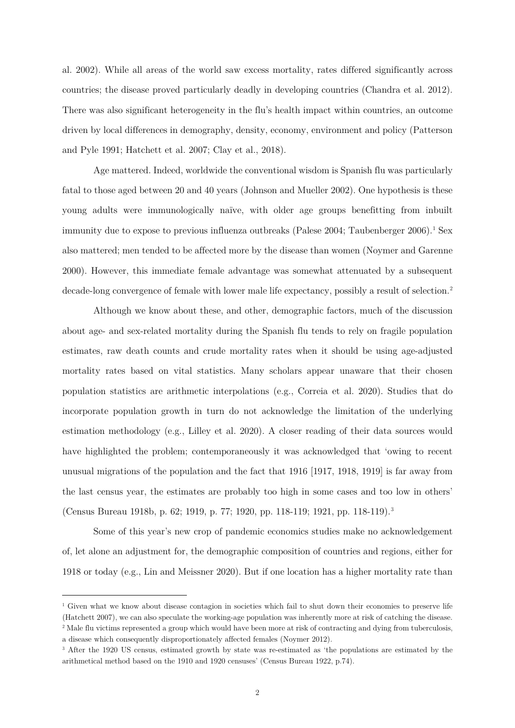al. 2002). While all areas of the world saw excess mortality, rates differed significantly across countries; the disease proved particularly deadly in developing countries (Chandra et al. 2012). There was also significant heterogeneity in the flu's health impact within countries, an outcome driven by local differences in demography, density, economy, environment and policy (Patterson and Pyle 1991; Hatchett et al. 2007; Clay et al., 2018).

Age mattered. Indeed, worldwide the conventional wisdom is Spanish flu was particularly fatal to those aged between 20 and 40 years (Johnson and Mueller 2002). One hypothesis is these young adults were immunologically naïve, with older age groups benefitting from inbuilt immunity due to expose to previous influenza outbreaks (Palese 2004; Taubenberger 2006). [1](#page-2-0) Sex also mattered; men tended to be affected more by the disease than women (Noymer and Garenne 2000). However, this immediate female advantage was somewhat attenuated by a subsequent decade-long convergence of female with lower male life expectancy, possibly a result of selection.<sup>[2](#page-2-1)</sup>

Although we know about these, and other, demographic factors, much of the discussion about age- and sex-related mortality during the Spanish flu tends to rely on fragile population estimates, raw death counts and crude mortality rates when it should be using age-adjusted mortality rates based on vital statistics. Many scholars appear unaware that their chosen population statistics are arithmetic interpolations (e.g., Correia et al. 2020). Studies that do incorporate population growth in turn do not acknowledge the limitation of the underlying estimation methodology (e.g., Lilley et al. 2020). A closer reading of their data sources would have highlighted the problem; contemporaneously it was acknowledged that 'owing to recent unusual migrations of the population and the fact that 1916 [1917, 1918, 1919] is far away from the last census year, the estimates are probably too high in some cases and too low in others' (Census Bureau 1918b, p. 62; 1919, p. 77; 1920, pp. 118-119; 1921, pp. 118-119).[3](#page-2-2)

Some of this year's new crop of pandemic economics studies make no acknowledgement of, let alone an adjustment for, the demographic composition of countries and regions, either for 1918 or today (e.g., Lin and Meissner 2020). But if one location has a higher mortality rate than

<span id="page-2-1"></span><span id="page-2-0"></span><sup>&</sup>lt;sup>1</sup> Given what we know about disease contagion in societies which fail to shut down their economies to preserve life (Hatchett 2007), we can also speculate the working-age population was inherently more at risk of catching the disease. <sup>2</sup> Male flu victims represented a group which would have been more at risk of contracting and dying from tuberculosis, a disease which consequently disproportionately affected females (Noymer 2012).

<span id="page-2-2"></span><sup>3</sup> After the 1920 US census, estimated growth by state was re-estimated as 'the populations are estimated by the arithmetical method based on the 1910 and 1920 censuses' (Census Bureau 1922, p.74).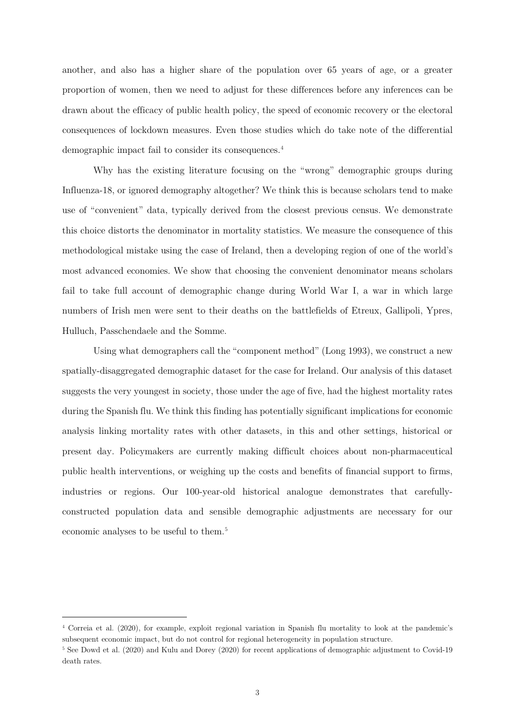another, and also has a higher share of the population over 65 years of age, or a greater proportion of women, then we need to adjust for these differences before any inferences can be drawn about the efficacy of public health policy, the speed of economic recovery or the electoral consequences of lockdown measures. Even those studies which do take note of the differential demographic impact fail to consider its consequences.<sup>[4](#page-3-0)</sup>

Why has the existing literature focusing on the "wrong" demographic groups during Influenza-18, or ignored demography altogether? We think this is because scholars tend to make use of "convenient" data, typically derived from the closest previous census. We demonstrate this choice distorts the denominator in mortality statistics. We measure the consequence of this methodological mistake using the case of Ireland, then a developing region of one of the world's most advanced economies. We show that choosing the convenient denominator means scholars fail to take full account of demographic change during World War I, a war in which large numbers of Irish men were sent to their deaths on the battlefields of Etreux, Gallipoli, Ypres, Hulluch, Passchendaele and the Somme.

Using what demographers call the "component method" (Long 1993), we construct a new spatially-disaggregated demographic dataset for the case for Ireland. Our analysis of this dataset suggests the very youngest in society, those under the age of five, had the highest mortality rates during the Spanish flu. We think this finding has potentially significant implications for economic analysis linking mortality rates with other datasets, in this and other settings, historical or present day. Policymakers are currently making difficult choices about non-pharmaceutical public health interventions, or weighing up the costs and benefits of financial support to firms, industries or regions. Our 100-year-old historical analogue demonstrates that carefullyconstructed population data and sensible demographic adjustments are necessary for our economic analyses to be useful to them. [5](#page-3-1)

<span id="page-3-0"></span><sup>4</sup> Correia et al. (2020), for example, exploit regional variation in Spanish flu mortality to look at the pandemic's subsequent economic impact, but do not control for regional heterogeneity in population structure.

<span id="page-3-1"></span><sup>&</sup>lt;sup>5</sup> See Dowd et al. (2020) and Kulu and Dorey (2020) for recent applications of demographic adjustment to Covid-19 death rates.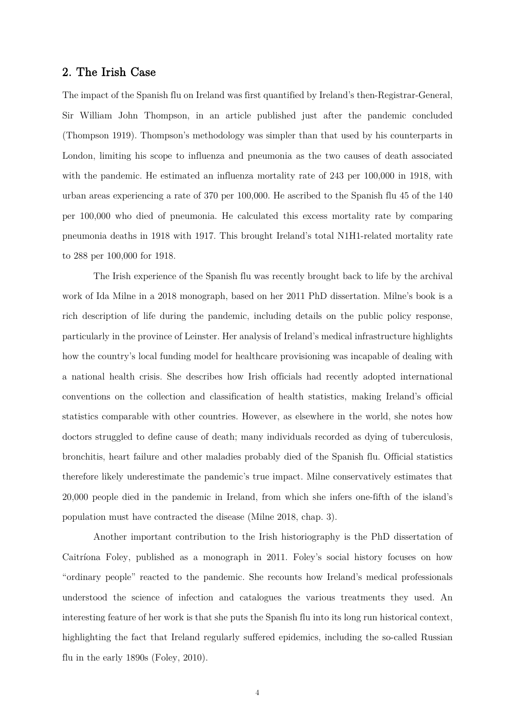### 2. The Irish Case

The impact of the Spanish flu on Ireland was first quantified by Ireland's then-Registrar-General, Sir William John Thompson, in an article published just after the pandemic concluded (Thompson 1919). Thompson's methodology was simpler than that used by his counterparts in London, limiting his scope to influenza and pneumonia as the two causes of death associated with the pandemic. He estimated an influenza mortality rate of 243 per 100,000 in 1918, with urban areas experiencing a rate of 370 per 100,000. He ascribed to the Spanish flu 45 of the 140 per 100,000 who died of pneumonia. He calculated this excess mortality rate by comparing pneumonia deaths in 1918 with 1917. This brought Ireland's total N1H1-related mortality rate to 288 per 100,000 for 1918.

The Irish experience of the Spanish flu was recently brought back to life by the archival work of Ida Milne in a 2018 monograph, based on her 2011 PhD dissertation. Milne's book is a rich description of life during the pandemic, including details on the public policy response, particularly in the province of Leinster. Her analysis of Ireland's medical infrastructure highlights how the country's local funding model for healthcare provisioning was incapable of dealing with a national health crisis. She describes how Irish officials had recently adopted international conventions on the collection and classification of health statistics, making Ireland's official statistics comparable with other countries. However, as elsewhere in the world, she notes how doctors struggled to define cause of death; many individuals recorded as dying of tuberculosis, bronchitis, heart failure and other maladies probably died of the Spanish flu. Official statistics therefore likely underestimate the pandemic's true impact. Milne conservatively estimates that 20,000 people died in the pandemic in Ireland, from which she infers one-fifth of the island's population must have contracted the disease (Milne 2018, chap. 3).

Another important contribution to the Irish historiography is the PhD dissertation of Caitríona Foley, published as a monograph in 2011. Foley's social history focuses on how "ordinary people" reacted to the pandemic. She recounts how Ireland's medical professionals understood the science of infection and catalogues the various treatments they used. An interesting feature of her work is that she puts the Spanish flu into its long run historical context, highlighting the fact that Ireland regularly suffered epidemics, including the so-called Russian flu in the early 1890s (Foley, 2010).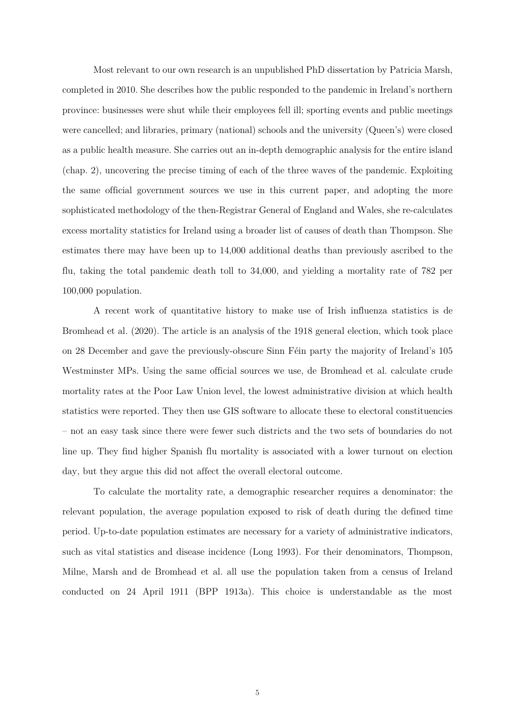Most relevant to our own research is an unpublished PhD dissertation by Patricia Marsh, completed in 2010. She describes how the public responded to the pandemic in Ireland's northern province: businesses were shut while their employees fell ill; sporting events and public meetings were cancelled; and libraries, primary (national) schools and the university (Queen's) were closed as a public health measure. She carries out an in-depth demographic analysis for the entire island (chap. 2), uncovering the precise timing of each of the three waves of the pandemic. Exploiting the same official government sources we use in this current paper, and adopting the more sophisticated methodology of the then-Registrar General of England and Wales, she re-calculates excess mortality statistics for Ireland using a broader list of causes of death than Thompson. She estimates there may have been up to 14,000 additional deaths than previously ascribed to the flu, taking the total pandemic death toll to 34,000, and yielding a mortality rate of 782 per 100,000 population.

A recent work of quantitative history to make use of Irish influenza statistics is de Bromhead et al. (2020). The article is an analysis of the 1918 general election, which took place on 28 December and gave the previously-obscure Sinn Féin party the majority of Ireland's 105 Westminster MPs. Using the same official sources we use, de Bromhead et al. calculate crude mortality rates at the Poor Law Union level, the lowest administrative division at which health statistics were reported. They then use GIS software to allocate these to electoral constituencies – not an easy task since there were fewer such districts and the two sets of boundaries do not line up. They find higher Spanish flu mortality is associated with a lower turnout on election day, but they argue this did not affect the overall electoral outcome.

To calculate the mortality rate, a demographic researcher requires a denominator: the relevant population, the average population exposed to risk of death during the defined time period. Up-to-date population estimates are necessary for a variety of administrative indicators, such as vital statistics and disease incidence (Long 1993). For their denominators, Thompson, Milne, Marsh and de Bromhead et al. all use the population taken from a census of Ireland conducted on 24 April 1911 (BPP 1913a). This choice is understandable as the most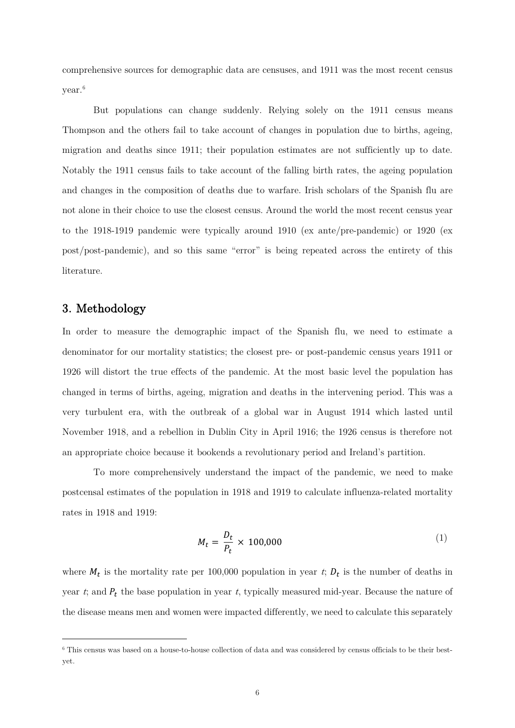comprehensive sources for demographic data are censuses, and 1911 was the most recent census year.[6](#page-6-0)

But populations can change suddenly. Relying solely on the 1911 census means Thompson and the others fail to take account of changes in population due to births, ageing, migration and deaths since 1911; their population estimates are not sufficiently up to date. Notably the 1911 census fails to take account of the falling birth rates, the ageing population and changes in the composition of deaths due to warfare. Irish scholars of the Spanish flu are not alone in their choice to use the closest census. Around the world the most recent census year to the 1918-1919 pandemic were typically around 1910 (ex ante/pre-pandemic) or 1920 (ex post/post-pandemic), and so this same "error" is being repeated across the entirety of this literature.

## 3. Methodology

In order to measure the demographic impact of the Spanish flu, we need to estimate a denominator for our mortality statistics; the closest pre- or post-pandemic census years 1911 or 1926 will distort the true effects of the pandemic. At the most basic level the population has changed in terms of births, ageing, migration and deaths in the intervening period. This was a very turbulent era, with the outbreak of a global war in August 1914 which lasted until November 1918, and a rebellion in Dublin City in April 1916; the 1926 census is therefore not an appropriate choice because it bookends a revolutionary period and Ireland's partition.

To more comprehensively understand the impact of the pandemic, we need to make postcensal estimates of the population in 1918 and 1919 to calculate influenza-related mortality rates in 1918 and 1919:

$$
M_t = \frac{D_t}{P_t} \times 100,000\tag{1}
$$

where  $M_t$  is the mortality rate per 100,000 population in year t;  $D_t$  is the number of deaths in year t; and  $P_t$  the base population in year t, typically measured mid-year. Because the nature of the disease means men and women were impacted differently, we need to calculate this separately

<span id="page-6-0"></span><sup>6</sup> This census was based on a house-to-house collection of data and was considered by census officials to be their bestyet.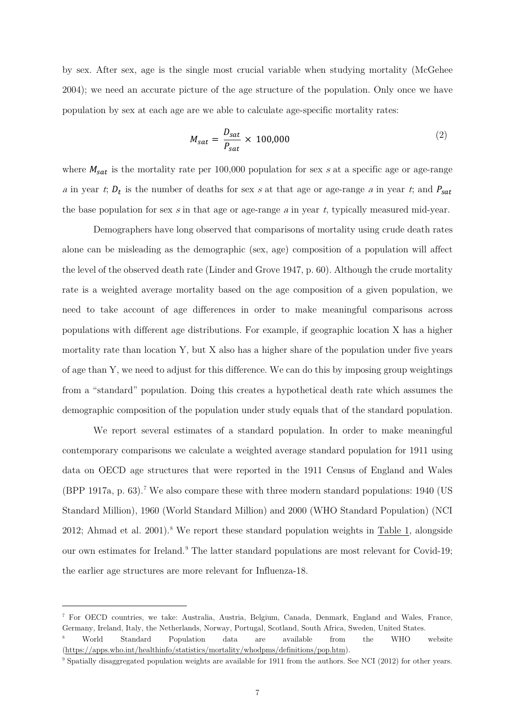by sex. After sex, age is the single most crucial variable when studying mortality (McGehee 2004); we need an accurate picture of the age structure of the population. Only once we have population by sex at each age are we able to calculate age-specific mortality rates:

$$
M_{sat} = \frac{D_{sat}}{P_{sat}} \times 100,000 \tag{2}
$$

where  $M_{sat}$  is the mortality rate per 100,000 population for sex s at a specific age or age-range a in year t;  $D_t$  is the number of deaths for sex s at that age or age-range a in year t; and  $P_{sat}$ the base population for sex s in that age or age-range a in year t, typically measured mid-year.

Demographers have long observed that comparisons of mortality using crude death rates alone can be misleading as the demographic (sex, age) composition of a population will affect the level of the observed death rate (Linder and Grove 1947, p. 60). Although the crude mortality rate is a weighted average mortality based on the age composition of a given population, we need to take account of age differences in order to make meaningful comparisons across populations with different age distributions. For example, if geographic location X has a higher mortality rate than location Y, but X also has a higher share of the population under five years of age than Y, we need to adjust for this difference. We can do this by imposing group weightings from a "standard" population. Doing this creates a hypothetical death rate which assumes the demographic composition of the population under study equals that of the standard population.

We report several estimates of a standard population. In order to make meaningful contemporary comparisons we calculate a weighted average standard population for 1911 using data on OECD age structures that were reported in the 1911 Census of England and Wales (BPP 1917a, p. 63). [7](#page-7-0) We also compare these with three modern standard populations: 1940 (US Standard Million), 1960 (World Standard Million) and 2000 (WHO Standard Population) (NCI 2012; Ahmad et al. 2001).<sup>[8](#page-7-1)</sup> We report these standard population weights in [Table 1,](#page-21-0) alongside our own estimates for Ireland.[9](#page-7-2) The latter standard populations are most relevant for Covid-19; the earlier age structures are more relevant for Influenza-18.

<span id="page-7-0"></span><sup>7</sup> For OECD countries, we take: Australia, Austria, Belgium, Canada, Denmark, England and Wales, France, Germany, Ireland, Italy, the Netherlands, Norway, Portugal, Scotland, South Africa, Sweden, United States.

<span id="page-7-1"></span><sup>8</sup> World Standard Population data are available from the WHO website [\(https://apps.who.int/healthinfo/statistics/mortality/whodpms/definitions/pop.htm\)](https://apps.who.int/healthinfo/statistics/mortality/whodpms/definitions/pop.htm).

<span id="page-7-2"></span><sup>9</sup> Spatially disaggregated population weights are available for 1911 from the authors. See NCI (2012) for other years.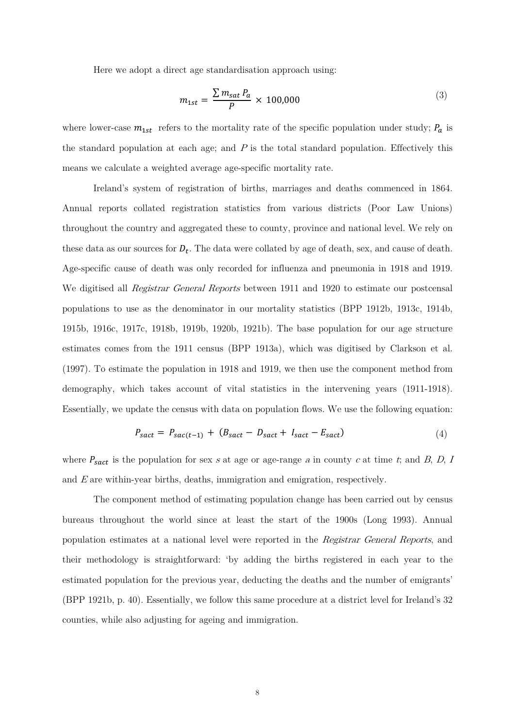Here we adopt a direct age standardisation approach using:

$$
m_{1st} = \frac{\sum m_{sat} P_a}{P} \times 100,000 \tag{3}
$$

where lower-case  $m_{1st}$  refers to the mortality rate of the specific population under study;  $P_a$  is the standard population at each age; and  $P$  is the total standard population. Effectively this means we calculate a weighted average age-specific mortality rate.

Ireland's system of registration of births, marriages and deaths commenced in 1864. Annual reports collated registration statistics from various districts (Poor Law Unions) throughout the country and aggregated these to county, province and national level. We rely on these data as our sources for  $D_t$ . The data were collated by age of death, sex, and cause of death. Age-specific cause of death was only recorded for influenza and pneumonia in 1918 and 1919. We digitised all *Registrar General Reports* between 1911 and 1920 to estimate our postcensal populations to use as the denominator in our mortality statistics (BPP 1912b, 1913c, 1914b, 1915b, 1916c, 1917c, 1918b, 1919b, 1920b, 1921b). The base population for our age structure estimates comes from the 1911 census (BPP 1913a), which was digitised by Clarkson et al. (1997). To estimate the population in 1918 and 1919, we then use the component method from demography, which takes account of vital statistics in the intervening years (1911-1918). Essentially, we update the census with data on population flows. We use the following equation:

$$
P_{\text{sat}} = P_{\text{sat}(t-1)} + (B_{\text{sat}} - D_{\text{sat}} + I_{\text{sat}} - E_{\text{sat}}) \tag{4}
$$

where  $P_{\text{sact}}$  is the population for sex s at age or age-range a in county c at time t; and B, D, I and <sup>E</sup>are within-year births, deaths, immigration and emigration, respectively.

The component method of estimating population change has been carried out by census bureaus throughout the world since at least the start of the 1900s (Long 1993). Annual population estimates at a national level were reported in the Registrar General Reports, and their methodology is straightforward: 'by adding the births registered in each year to the estimated population for the previous year, deducting the deaths and the number of emigrants' (BPP 1921b, p. 40). Essentially, we follow this same procedure at a district level for Ireland's 32 counties, while also adjusting for ageing and immigration.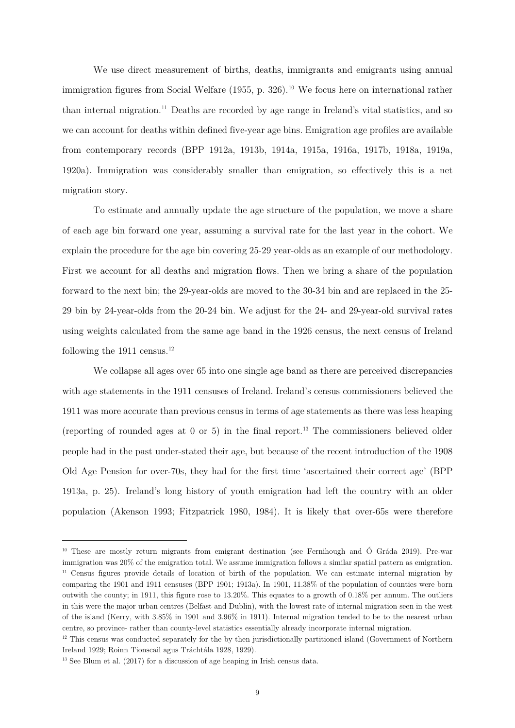We use direct measurement of births, deaths, immigrants and emigrants using annual immigration figures from Social Welfare (1955, p. 326). [10](#page-9-0) We focus here on international rather than internal migration.[11](#page-9-1) Deaths are recorded by age range in Ireland's vital statistics, and so we can account for deaths within defined five-year age bins. Emigration age profiles are available from contemporary records (BPP 1912a, 1913b, 1914a, 1915a, 1916a, 1917b, 1918a, 1919a, 1920a). Immigration was considerably smaller than emigration, so effectively this is a net migration story.

To estimate and annually update the age structure of the population, we move a share of each age bin forward one year, assuming a survival rate for the last year in the cohort. We explain the procedure for the age bin covering 25-29 year-olds as an example of our methodology. First we account for all deaths and migration flows. Then we bring a share of the population forward to the next bin; the 29-year-olds are moved to the 30-34 bin and are replaced in the 25- 29 bin by 24-year-olds from the 20-24 bin. We adjust for the 24- and 29-year-old survival rates using weights calculated from the same age band in the 1926 census, the next census of Ireland following the 1911 census. [12](#page-9-2)

We collapse all ages over 65 into one single age band as there are perceived discrepancies with age statements in the 1911 censuses of Ireland. Ireland's census commissioners believed the 1911 was more accurate than previous census in terms of age statements as there was less heaping (reporting of rounded ages at 0 or 5) in the final report.<sup>[13](#page-9-3)</sup> The commissioners believed older people had in the past under-stated their age, but because of the recent introduction of the 1908 Old Age Pension for over-70s, they had for the first time 'ascertained their correct age' (BPP 1913a, p. 25). Ireland's long history of youth emigration had left the country with an older population (Akenson 1993; Fitzpatrick 1980, 1984). It is likely that over-65s were therefore

<span id="page-9-1"></span><span id="page-9-0"></span><sup>10</sup> These are mostly return migrants from emigrant destination (see Fernihough and Ó Gráda 2019). Pre-war immigration was 20% of the emigration total. We assume immigration follows a similar spatial pattern as emigration. <sup>11</sup> Census figures provide details of location of birth of the population. We can estimate internal migration by comparing the 1901 and 1911 censuses (BPP 1901; 1913a). In 1901, 11.38% of the population of counties were born outwith the county; in 1911, this figure rose to 13.20%. This equates to a growth of 0.18% per annum. The outliers in this were the major urban centres (Belfast and Dublin), with the lowest rate of internal migration seen in the west of the island (Kerry, with 3.85% in 1901 and 3.96% in 1911). Internal migration tended to be to the nearest urban centre, so province- rather than county-level statistics essentially already incorporate internal migration.

<span id="page-9-2"></span><sup>&</sup>lt;sup>12</sup> This census was conducted separately for the by then jurisdictionally partitioned island (Government of Northern Ireland 1929; Roinn Tionscail agus Tráchtála 1928, 1929).

<span id="page-9-3"></span><sup>&</sup>lt;sup>13</sup> See Blum et al. (2017) for a discussion of age heaping in Irish census data.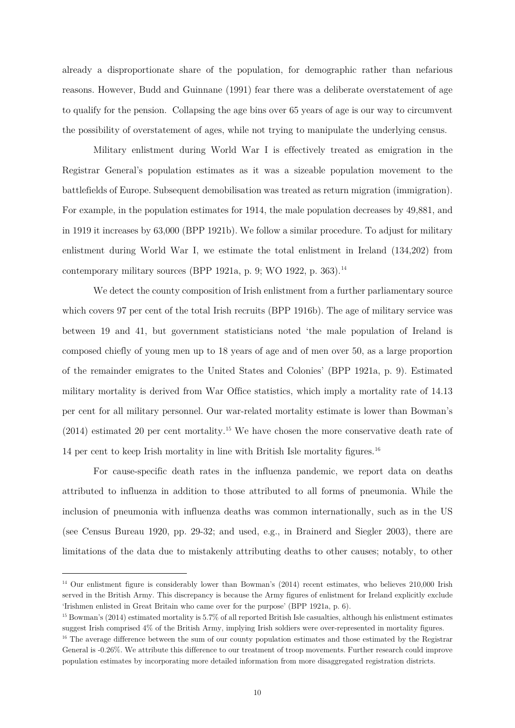already a disproportionate share of the population, for demographic rather than nefarious reasons. However, Budd and Guinnane (1991) fear there was a deliberate overstatement of age to qualify for the pension. Collapsing the age bins over 65 years of age is our way to circumvent the possibility of overstatement of ages, while not trying to manipulate the underlying census.

Military enlistment during World War I is effectively treated as emigration in the Registrar General's population estimates as it was a sizeable population movement to the battlefields of Europe. Subsequent demobilisation was treated as return migration (immigration). For example, in the population estimates for 1914, the male population decreases by 49,881, and in 1919 it increases by 63,000 (BPP 1921b). We follow a similar procedure. To adjust for military enlistment during World War I, we estimate the total enlistment in Ireland (134,202) from contemporary military sources (BPP 1921a, p. 9; WO 1922, p. 363).<sup>14</sup>

We detect the county composition of Irish enlistment from a further parliamentary source which covers 97 per cent of the total Irish recruits (BPP 1916b). The age of military service was between 19 and 41, but government statisticians noted 'the male population of Ireland is composed chiefly of young men up to 18 years of age and of men over 50, as a large proportion of the remainder emigrates to the United States and Colonies' (BPP 1921a, p. 9). Estimated military mortality is derived from War Office statistics, which imply a mortality rate of 14.13 per cent for all military personnel. Our war-related mortality estimate is lower than Bowman's (2014) estimated 20 per cent mortality.[15](#page-10-1) We have chosen the more conservative death rate of 14 per cent to keep Irish mortality in line with British Isle mortality figures.[16](#page-10-2)

For cause-specific death rates in the influenza pandemic, we report data on deaths attributed to influenza in addition to those attributed to all forms of pneumonia. While the inclusion of pneumonia with influenza deaths was common internationally, such as in the US (see Census Bureau 1920, pp. 29-32; and used, e.g., in Brainerd and Siegler 2003), there are limitations of the data due to mistakenly attributing deaths to other causes; notably, to other

<span id="page-10-0"></span><sup>&</sup>lt;sup>14</sup> Our enlistment figure is considerably lower than Bowman's (2014) recent estimates, who believes 210,000 Irish served in the British Army. This discrepancy is because the Army figures of enlistment for Ireland explicitly exclude 'Irishmen enlisted in Great Britain who came over for the purpose' (BPP 1921a, p. 6).

<span id="page-10-1"></span><sup>15</sup> Bowman's (2014) estimated mortality is 5.7% of all reported British Isle casualties, although his enlistment estimates suggest Irish comprised 4% of the British Army, implying Irish soldiers were over-represented in mortality figures.

<span id="page-10-2"></span><sup>&</sup>lt;sup>16</sup> The average difference between the sum of our county population estimates and those estimated by the Registrar General is -0.26%. We attribute this difference to our treatment of troop movements. Further research could improve population estimates by incorporating more detailed information from more disaggregated registration districts.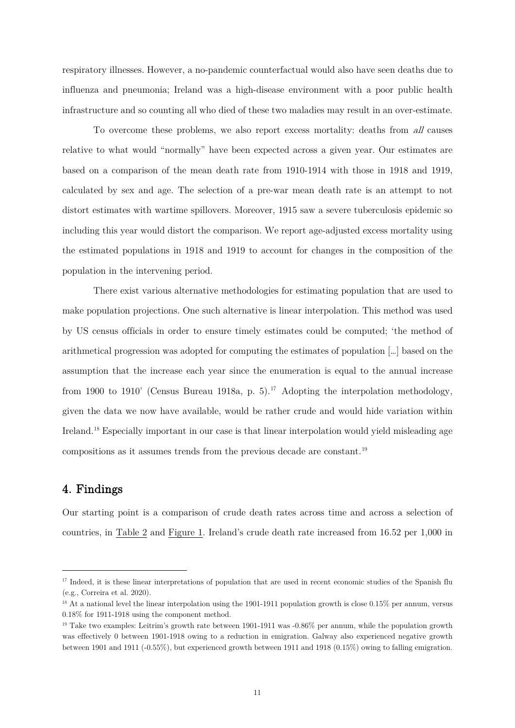respiratory illnesses. However, a no-pandemic counterfactual would also have seen deaths due to influenza and pneumonia; Ireland was a high-disease environment with a poor public health infrastructure and so counting all who died of these two maladies may result in an over-estimate.

To overcome these problems, we also report excess mortality: deaths from all causes relative to what would "normally" have been expected across a given year. Our estimates are based on a comparison of the mean death rate from 1910-1914 with those in 1918 and 1919, calculated by sex and age. The selection of a pre-war mean death rate is an attempt to not distort estimates with wartime spillovers. Moreover, 1915 saw a severe tuberculosis epidemic so including this year would distort the comparison. We report age-adjusted excess mortality using the estimated populations in 1918 and 1919 to account for changes in the composition of the population in the intervening period.

There exist various alternative methodologies for estimating population that are used to make population projections. One such alternative is linear interpolation. This method was used by US census officials in order to ensure timely estimates could be computed; 'the method of arithmetical progression was adopted for computing the estimates of population […] based on the assumption that the increase each year since the enumeration is equal to the annual increase from 1900 to 1910' (Census Bureau 1918a, p. 5).<sup>[17](#page-11-0)</sup> Adopting the interpolation methodology, given the data we now have available, would be rather crude and would hide variation within Ireland.[18](#page-11-1) Especially important in our case is that linear interpolation would yield misleading age compositions as it assumes trends from the previous decade are constant.[19](#page-11-2)

## 4. Findings

Our starting point is a comparison of crude death rates across time and across a selection of countries, in [Table 2](#page-21-1) and [Figure 1.](#page-27-1) Ireland's crude death rate increased from 16.52 per 1,000 in

<span id="page-11-0"></span><sup>&</sup>lt;sup>17</sup> Indeed, it is these linear interpretations of population that are used in recent economic studies of the Spanish flu (e.g., Correira et al. 2020).

<span id="page-11-1"></span><sup>18</sup> At a national level the linear interpolation using the 1901-1911 population growth is close 0.15% per annum, versus 0.18% for 1911-1918 using the component method.

<span id="page-11-2"></span><sup>19</sup> Take two examples: Leitrim's growth rate between 1901-1911 was -0.86% per annum, while the population growth was effectively 0 between 1901-1918 owing to a reduction in emigration. Galway also experienced negative growth between 1901 and 1911 (-0.55%), but experienced growth between 1911 and 1918 (0.15%) owing to falling emigration.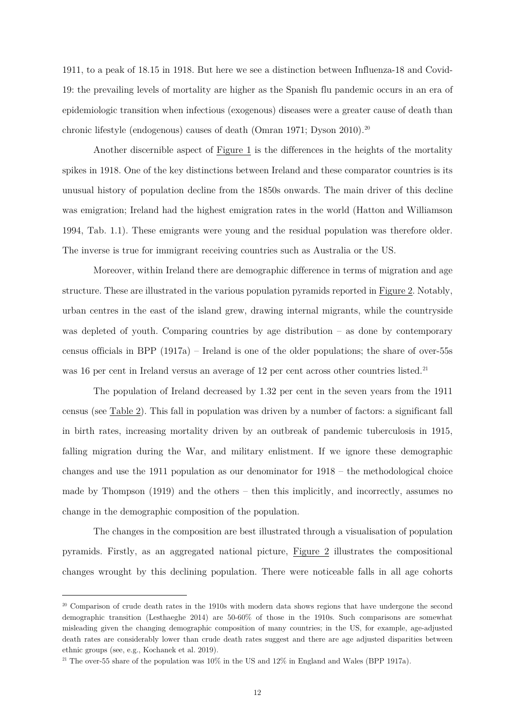1911, to a peak of 18.15 in 1918. But here we see a distinction between Influenza-18 and Covid-19: the prevailing levels of mortality are higher as the Spanish flu pandemic occurs in an era of epidemiologic transition when infectious (exogenous) diseases were a greater cause of death than chronic lifestyle (endogenous) causes of death (Omran 1971; Dyson [20](#page-12-0)10).<sup>20</sup>

Another discernible aspect of [Figure 1](#page-27-1) is the differences in the heights of the mortality spikes in 1918. One of the key distinctions between Ireland and these comparator countries is its unusual history of population decline from the 1850s onwards. The main driver of this decline was emigration; Ireland had the highest emigration rates in the world (Hatton and Williamson 1994, Tab. 1.1). These emigrants were young and the residual population was therefore older. The inverse is true for immigrant receiving countries such as Australia or the US.

Moreover, within Ireland there are demographic difference in terms of migration and age structure. These are illustrated in the various population pyramids reported in [Figure 2.](#page-28-0) Notably, urban centres in the east of the island grew, drawing internal migrants, while the countryside was depleted of youth. Comparing countries by age distribution – as done by contemporary census officials in BPP (1917a) – Ireland is one of the older populations; the share of over-55s was 16 per cent in Ireland versus an average of 12 per cent across other countries listed.<sup>[21](#page-12-1)</sup>

The population of Ireland decreased by 1.32 per cent in the seven years from the 1911 census (see [Table 2](#page-22-0)). This fall in population was driven by a number of factors: a significant fall in birth rates, increasing mortality driven by an outbreak of pandemic tuberculosis in 1915, falling migration during the War, and military enlistment. If we ignore these demographic changes and use the 1911 population as our denominator for 1918 – the methodological choice made by Thompson (1919) and the others – then this implicitly, and incorrectly, assumes no change in the demographic composition of the population.

The changes in the composition are best illustrated through a visualisation of population pyramids. Firstly, as an aggregated national picture, [Figure 2](#page-28-0) illustrates the compositional changes wrought by this declining population. There were noticeable falls in all age cohorts

<span id="page-12-0"></span><sup>&</sup>lt;sup>20</sup> Comparison of crude death rates in the 1910s with modern data shows regions that have undergone the second demographic transition (Lesthaeghe 2014) are 50-60% of those in the 1910s. Such comparisons are somewhat misleading given the changing demographic composition of many countries; in the US, for example, age-adjusted death rates are considerably lower than crude death rates suggest and there are age adjusted disparities between ethnic groups (see, e.g., Kochanek et al. 2019).

<span id="page-12-1"></span><sup>&</sup>lt;sup>21</sup> The over-55 share of the population was  $10\%$  in the US and  $12\%$  in England and Wales (BPP 1917a).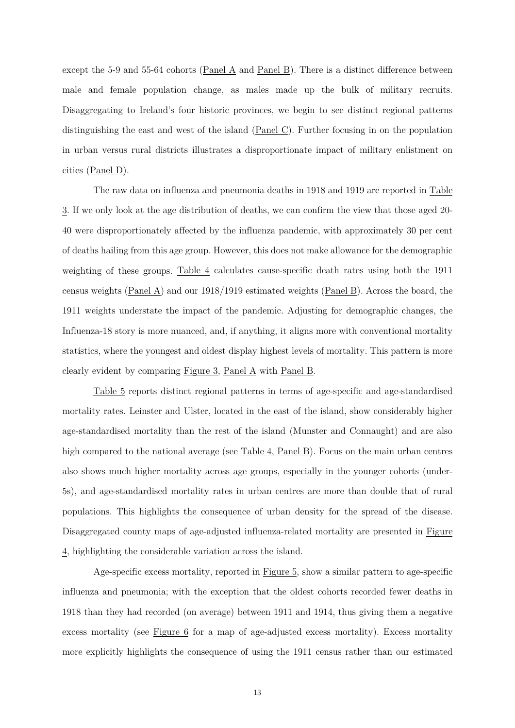except the 5-9 and 55-64 cohorts [\(Panel A](#page-28-1) and [Panel B\)](#page-28-2). There is a distinct difference between male and female population change, as males made up the bulk of military recruits. Disaggregating to Ireland's four historic provinces, we begin to see distinct regional patterns distinguishing the east and west of the island [\(Panel C\)](#page-29-0). Further focusing in on the population in urban versus rural districts illustrates a disproportionate impact of military enlistment on cities [\(Panel D\)](#page-30-0).

The raw data on influenza and pneumonia deaths in 1918 and 1919 are reported in [Table](#page-31-0)  3. If we only look at the age distribution of deaths, we can confirm the view that those aged 20- 40 were disproportionately affected by the influenza pandemic, with approximately 30 per cent of deaths hailing from this age group. However, this does not make allowance for the demographic weighting of these groups. [Table 4](#page-24-0) calculates cause-specific death rates using both the 1911 census weights [\(Panel A\)](#page-24-1) and our 1918/1919 estimated weights [\(Panel B\)](#page-25-0). Across the board, the 1911 weights understate the impact of the pandemic. Adjusting for demographic changes, the Influenza-18 story is more nuanced, and, if anything, it aligns more with conventional mortality statistics, where the youngest and oldest display highest levels of mortality. This pattern is more clearly evident by comparing [Figure 3,](#page-31-0) [Panel A](#page-31-1) with [Panel B.](#page-31-2)

[Table 5](#page-26-0) reports distinct regional patterns in terms of age-specific and age-standardised mortality rates. Leinster and Ulster, located in the east of the island, show considerably higher age-standardised mortality than the rest of the island (Munster and Connaught) and are also high compared to the national average (see [Table 4, Panel B\)](#page-25-0). Focus on the main urban centres also shows much higher mortality across age groups, especially in the younger cohorts (under-5s), and age-standardised mortality rates in urban centres are more than double that of rural populations. This highlights the consequence of urban density for the spread of the disease. Disaggregated county maps of age-adjusted influenza-related mortality are presented in [Figure](#page-32-0)  4, highlighting the considerable variation across the island.

Age-specific excess mortality, reported in [Figure 5,](#page-33-0) show a similar pattern to age-specific influenza and pneumonia; with the exception that the oldest cohorts recorded fewer deaths in 1918 than they had recorded (on average) between 1911 and 1914, thus giving them a negative excess mortality (see [Figure 6](#page-34-0) for a map of age-adjusted excess mortality). Excess mortality more explicitly highlights the consequence of using the 1911 census rather than our estimated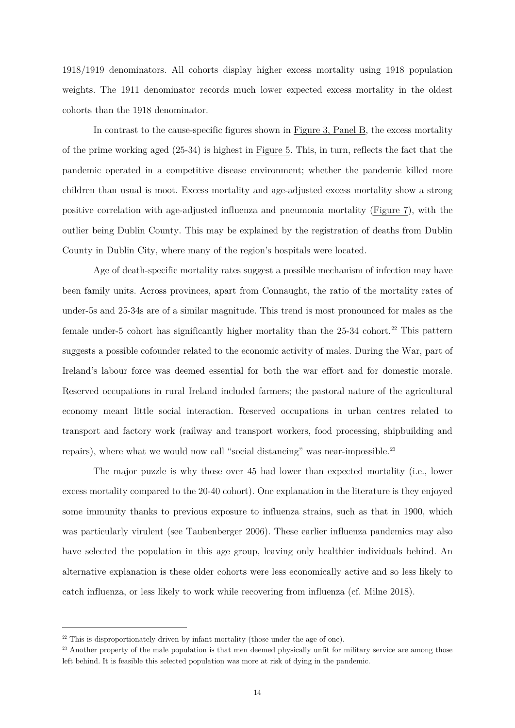1918/1919 denominators. All cohorts display higher excess mortality using 1918 population weights. The 1911 denominator records much lower expected excess mortality in the oldest cohorts than the 1918 denominator.

In contrast to the cause-specific figures shown in Figure [3, Panel B,](#page-31-2) the excess mortality of the prime working aged (25-34) is highest in [Figure 5.](#page-33-0) This, in turn, reflects the fact that the pandemic operated in a competitive disease environment; whether the pandemic killed more children than usual is moot. Excess mortality and age-adjusted excess mortality show a strong positive correlation with age-adjusted influenza and pneumonia mortality [\(Figure 7\)](#page-35-0), with the outlier being Dublin County. This may be explained by the registration of deaths from Dublin County in Dublin City, where many of the region's hospitals were located.

Age of death-specific mortality rates suggest a possible mechanism of infection may have been family units. Across provinces, apart from Connaught, the ratio of the mortality rates of under-5s and 25-34s are of a similar magnitude. This trend is most pronounced for males as the female under-5 cohort has significantly higher mortality than the  $25-34$  cohort.<sup>[22](#page-14-0)</sup> This pattern suggests a possible cofounder related to the economic activity of males. During the War, part of Ireland's labour force was deemed essential for both the war effort and for domestic morale. Reserved occupations in rural Ireland included farmers; the pastoral nature of the agricultural economy meant little social interaction. Reserved occupations in urban centres related to transport and factory work (railway and transport workers, food processing, shipbuilding and repairs), where what we would now call "social distancing" was near-impossible.<sup>[23](#page-14-1)</sup>

The major puzzle is why those over 45 had lower than expected mortality (i.e., lower excess mortality compared to the 20-40 cohort). One explanation in the literature is they enjoyed some immunity thanks to previous exposure to influenza strains, such as that in 1900, which was particularly virulent (see Taubenberger 2006). These earlier influenza pandemics may also have selected the population in this age group, leaving only healthier individuals behind. An alternative explanation is these older cohorts were less economically active and so less likely to catch influenza, or less likely to work while recovering from influenza (cf. Milne 2018).

<span id="page-14-0"></span> $22$  This is disproportionately driven by infant mortality (those under the age of one).

<span id="page-14-1"></span><sup>&</sup>lt;sup>23</sup> Another property of the male population is that men deemed physically unfit for military service are among those left behind. It is feasible this selected population was more at risk of dying in the pandemic.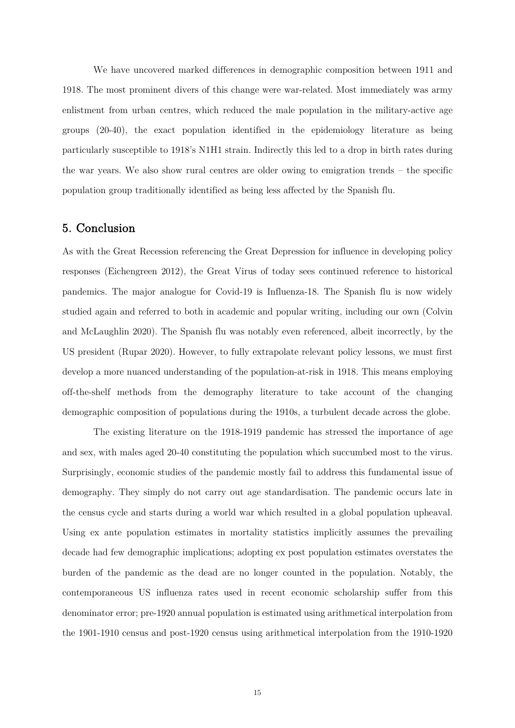We have uncovered marked differences in demographic composition between 1911 and 1918. The most prominent divers of this change were war-related. Most immediately was army enlistment from urban centres, which reduced the male population in the military-active age groups (20-40), the exact population identified in the epidemiology literature as being particularly susceptible to 1918's N1H1 strain. Indirectly this led to a drop in birth rates during the war years. We also show rural centres are older owing to emigration trends – the specific population group traditionally identified as being less affected by the Spanish flu.

## 5. Conclusion

As with the Great Recession referencing the Great Depression for influence in developing policy responses (Eichengreen 2012), the Great Virus of today sees continued reference to historical pandemics. The major analogue for Covid-19 is Influenza-18. The Spanish flu is now widely studied again and referred to both in academic and popular writing, including our own (Colvin and McLaughlin 2020). The Spanish flu was notably even referenced, albeit incorrectly, by the US president (Rupar 2020). However, to fully extrapolate relevant policy lessons, we must first develop a more nuanced understanding of the population-at-risk in 1918. This means employing off-the-shelf methods from the demography literature to take account of the changing demographic composition of populations during the 1910s, a turbulent decade across the globe.

The existing literature on the 1918-1919 pandemic has stressed the importance of age and sex, with males aged 20-40 constituting the population which succumbed most to the virus. Surprisingly, economic studies of the pandemic mostly fail to address this fundamental issue of demography. They simply do not carry out age standardisation. The pandemic occurs late in the census cycle and starts during a world war which resulted in a global population upheaval. Using ex ante population estimates in mortality statistics implicitly assumes the prevailing decade had few demographic implications; adopting ex post population estimates overstates the burden of the pandemic as the dead are no longer counted in the population. Notably, the contemporaneous US influenza rates used in recent economic scholarship suffer from this denominator error; pre-1920 annual population is estimated using arithmetical interpolation from the 1901-1910 census and post-1920 census using arithmetical interpolation from the 1910-1920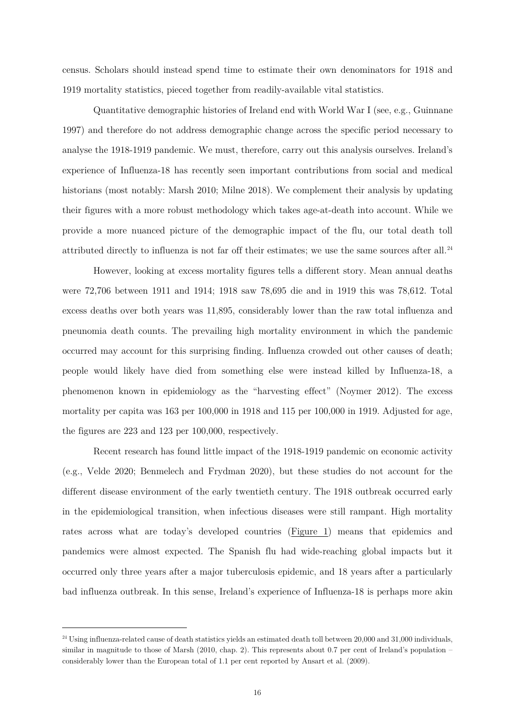census. Scholars should instead spend time to estimate their own denominators for 1918 and 1919 mortality statistics, pieced together from readily-available vital statistics.

Quantitative demographic histories of Ireland end with World War I (see, e.g., Guinnane 1997) and therefore do not address demographic change across the specific period necessary to analyse the 1918-1919 pandemic. We must, therefore, carry out this analysis ourselves. Ireland's experience of Influenza-18 has recently seen important contributions from social and medical historians (most notably: Marsh 2010; Milne 2018). We complement their analysis by updating their figures with a more robust methodology which takes age-at-death into account. While we provide a more nuanced picture of the demographic impact of the flu, our total death toll attributed directly to influenza is not far off their estimates; we use the same sources after all.<sup>[24](#page-16-0)</sup>

However, looking at excess mortality figures tells a different story. Mean annual deaths were 72,706 between 1911 and 1914; 1918 saw 78,695 die and in 1919 this was 78,612. Total excess deaths over both years was 11,895, considerably lower than the raw total influenza and pneunomia death counts. The prevailing high mortality environment in which the pandemic occurred may account for this surprising finding. Influenza crowded out other causes of death; people would likely have died from something else were instead killed by Influenza-18, a phenomenon known in epidemiology as the "harvesting effect" (Noymer 2012). The excess mortality per capita was 163 per 100,000 in 1918 and 115 per 100,000 in 1919. Adjusted for age, the figures are 223 and 123 per 100,000, respectively.

Recent research has found little impact of the 1918-1919 pandemic on economic activity (e.g., Velde 2020; Benmelech and Frydman 2020), but these studies do not account for the different disease environment of the early twentieth century. The 1918 outbreak occurred early in the epidemiological transition, when infectious diseases were still rampant. High mortality rates across what are today's developed countries [\(Figure 1\)](#page-27-1) means that epidemics and pandemics were almost expected. The Spanish flu had wide-reaching global impacts but it occurred only three years after a major tuberculosis epidemic, and 18 years after a particularly bad influenza outbreak. In this sense, Ireland's experience of Influenza-18 is perhaps more akin

<span id="page-16-0"></span> $^{24}$  Using influenza-related cause of death statistics yields an estimated death toll between 20,000 and 31,000 individuals, similar in magnitude to those of Marsh (2010, chap. 2). This represents about 0.7 per cent of Ireland's population – considerably lower than the European total of 1.1 per cent reported by Ansart et al. (2009).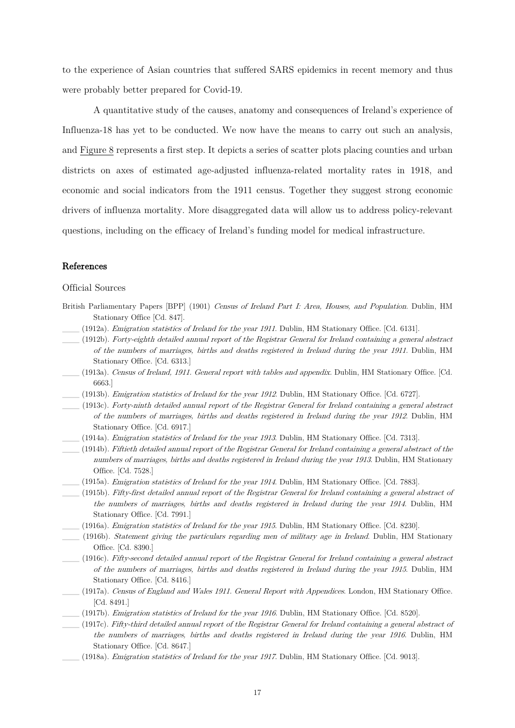to the experience of Asian countries that suffered SARS epidemics in recent memory and thus were probably better prepared for Covid-19.

A quantitative study of the causes, anatomy and consequences of Ireland's experience of Influenza-18 has yet to be conducted. We now have the means to carry out such an analysis, and [Figure 8](#page-36-0) represents a first step. It depicts a series of scatter plots placing counties and urban districts on axes of estimated age-adjusted influenza-related mortality rates in 1918, and economic and social indicators from the 1911 census. Together they suggest strong economic drivers of influenza mortality. More disaggregated data will allow us to address policy-relevant questions, including on the efficacy of Ireland's funding model for medical infrastructure.

### References

#### Official Sources

- British Parliamentary Papers [BPP] (1901) Census of Ireland Part I: Area, Houses, and Population. Dublin, HM Stationary Office [Cd. 847].
- \_\_\_ (1912a). Emigration statistics of Ireland for the year 1911. Dublin, HM Stationary Office. [Cd. 6131].
- $(1912b)$ . Forty-eighth detailed annual report of the Registrar General for Ireland containing a general abstract of the numbers of marriages, births and deaths registered in Ireland during the year 1911. Dublin, HM Stationary Office. [Cd. 6313.]
- \_\_\_ (1913a). Census of Ireland, 1911. General report with tables and appendix. Dublin, HM Stationary Office. [Cd. 6663.]
- \_\_\_ (1913b). Emigration statistics of Ireland for the year 1912. Dublin, HM Stationary Office. [Cd. 6727].
- \_\_\_ (1913c). Forty-ninth detailed annual report of the Registrar General for Ireland containing a general abstract of the numbers of marriages, births and deaths registered in Ireland during the year 1912. Dublin, HM Stationary Office. [Cd. 6917.]
- \_\_\_ (1914a). Emigration statistics of Ireland for the year 1913. Dublin, HM Stationary Office. [Cd. 7313].
- \_\_\_ (1914b). Fiftieth detailed annual report of the Registrar General for Ireland containing a general abstract of the numbers of marriages, births and deaths registered in Ireland during the year 1913. Dublin, HM Stationary Office. [Cd. 7528.]
- \_\_\_ (1915a). Emigration statistics of Ireland for the year 1914. Dublin, HM Stationary Office. [Cd. 7883].
- \_\_\_ (1915b). Fifty-first detailed annual report of the Registrar General for Ireland containing a general abstract of the numbers of marriages, births and deaths registered in Ireland during the year 1914. Dublin, HM Stationary Office. [Cd. 7991.]
- $(1916a)$ . Emigration statistics of Ireland for the year 1915. Dublin, HM Stationary Office. [Cd. 8230].
- \_\_\_ (1916b). Statement giving the particulars regarding men of military age in Ireland. Dublin, HM Stationary Office. [Cd. 8390.]
- \_\_\_ (1916c). Fifty-second detailed annual report of the Registrar General for Ireland containing a general abstract of the numbers of marriages, births and deaths registered in Ireland during the year 1915. Dublin, HM Stationary Office. [Cd. 8416.]
- \_\_\_ (1917a). Census of England and Wales 1911. General Report with Appendices. London, HM Stationary Office. [Cd. 8491.]
- \_\_\_ (1917b). Emigration statistics of Ireland for the year 1916. Dublin, HM Stationary Office. [Cd. 8520].
- \_\_\_ (1917c). Fifty-third detailed annual report of the Registrar General for Ireland containing a general abstract of the numbers of marriages, births and deaths registered in Ireland during the year 1916. Dublin, HM Stationary Office. [Cd. 8647.]
- \_\_\_ (1918a). Emigration statistics of Ireland for the year 1917. Dublin, HM Stationary Office. [Cd. 9013].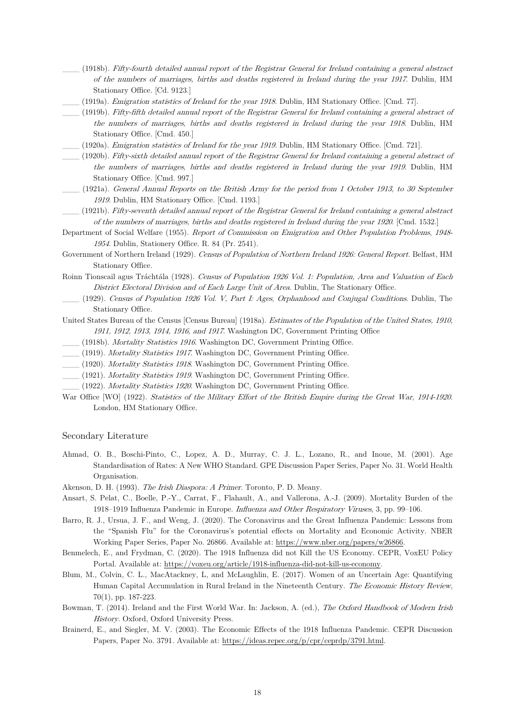- \_\_\_ (1918b). Fifty-fourth detailed annual report of the Registrar General for Ireland containing a general abstract of the numbers of marriages, births and deaths registered in Ireland during the year 1917. Dublin, HM Stationary Office. [Cd. 9123.]
- \_\_\_ (1919a). Emigration statistics of Ireland for the year 1918. Dublin, HM Stationary Office. [Cmd. 77].
- \_\_\_ (1919b). Fifty-fifth detailed annual report of the Registrar General for Ireland containing a general abstract of the numbers of marriages, births and deaths registered in Ireland during the year 1918. Dublin, HM Stationary Office. [Cmd. 450.]
- \_\_\_ (1920a). Emigration statistics of Ireland for the year 1919. Dublin, HM Stationary Office. [Cmd. 721].
- \_\_\_ (1920b). Fifty-sixth detailed annual report of the Registrar General for Ireland containing a general abstract of the numbers of marriages, births and deaths registered in Ireland during the year 1919. Dublin, HM Stationary Office. [Cmd. 997.]
- \_\_\_ (1921a). General Annual Reports on the British Army for the period from 1 October 1913, to 30 September 1919. Dublin, HM Stationary Office. [Cmd. 1193.]
- \_\_\_ (1921b). Fifty-seventh detailed annual report of the Registrar General for Ireland containing a general abstract of the numbers of marriages, births and deaths registered in Ireland during the year 1920. [Cmd. 1532.]
- Department of Social Welfare (1955). Report of Commission on Emigration and Other Population Problems, 1948- <sup>1954</sup>. Dublin, Stationery Office. R. 84 (Pr. 2541).
- Government of Northern Ireland (1929). Census of Population of Northern Ireland 1926: General Report. Belfast, HM Stationary Office.
- Roinn Tionscail agus Tráchtála (1928). Census of Population 1926 Vol. 1: Population, Area and Valuation of Each District Electoral Division and of Each Large Unit of Area. Dublin, The Stationary Office.
- (1929). Census of Population 1926 Vol. V, Part I: Ages, Orphanhood and Conjugal Conditions. Dublin, The Stationary Office.
- United States Bureau of the Census [Census Bureau] (1918a). Estimates of the Population of the United States, 1910, 1911, 1912, 1913, 1914, 1916, and 1917. Washington DC, Government Printing Office
- (1918b). Mortality Statistics 1916. Washington DC, Government Printing Office.
- \_\_\_ (1919). Mortality Statistics 1917. Washington DC, Government Printing Office.
- (1920). Mortality Statistics 1918. Washington DC, Government Printing Office.
- (1921). Mortality Statistics 1919. Washington DC, Government Printing Office.
- \_\_\_ (1922). Mortality Statistics 1920. Washington DC, Government Printing Office.
- War Office [WO] (1922). Statistics of the Military Effort of the British Empire during the Great War, 1914-1920. London, HM Stationary Office.

#### Secondary Literature

- Ahmad, O. B., Boschi-Pinto, C., Lopez, A. D., Murray, C. J. L., Lozano, R., and Inoue, M. (2001). Age Standardisation of Rates: A New WHO Standard. GPE Discussion Paper Series, Paper No. 31. World Health Organisation.
- Akenson, D. H. (1993). The Irish Diaspora: A Primer. Toronto, P. D. Meany.
- Ansart, S. Pelat, C., Boelle, P.-Y., Carrat, F., Flahault, A., and Vallerona, A.-J. (2009). Mortality Burden of the 1918–1919 Influenza Pandemic in Europe. Influenza and Other Respiratory Viruses, 3, pp. 99–106.
- Barro, R. J., Ursua, J. F., and Weng, J. (2020). The Coronavirus and the Great Influenza Pandemic: Lessons from the "Spanish Flu" for the Coronavirus's potential effects on Mortality and Economic Activity. NBER Working Paper Series, Paper No. 26866. Available at: [https://www.nber.org/papers/w26866.](https://www.nber.org/papers/w26866)
- Benmelech, E., and Frydman, C. (2020). The 1918 Influenza did not Kill the US Economy. CEPR, VoxEU Policy Portal. Available at: [https://voxeu.org/article/1918-influenza-did-not-kill-us-economy.](https://voxeu.org/article/1918-influenza-did-not-kill-us-economy)
- Blum, M., Colvin, C. L., MacAtackney, L, and McLaughlin, E. (2017). Women of an Uncertain Age: Quantifying Human Capital Accumulation in Rural Ireland in the Nineteenth Century. The Economic History Review, 70(1), pp. 187-223.
- Bowman, T. (2014). Ireland and the First World War. In: Jackson, A. (ed.), The Oxford Handbook of Modern Irish History. Oxford, Oxford University Press.
- Brainerd, E., and Siegler, M. V. (2003). The Economic Effects of the 1918 Influenza Pandemic. CEPR Discussion Papers, Paper No. 3791. Available at: [https://ideas.repec.org/p/cpr/ceprdp/3791.html.](https://ideas.repec.org/p/cpr/ceprdp/3791.html)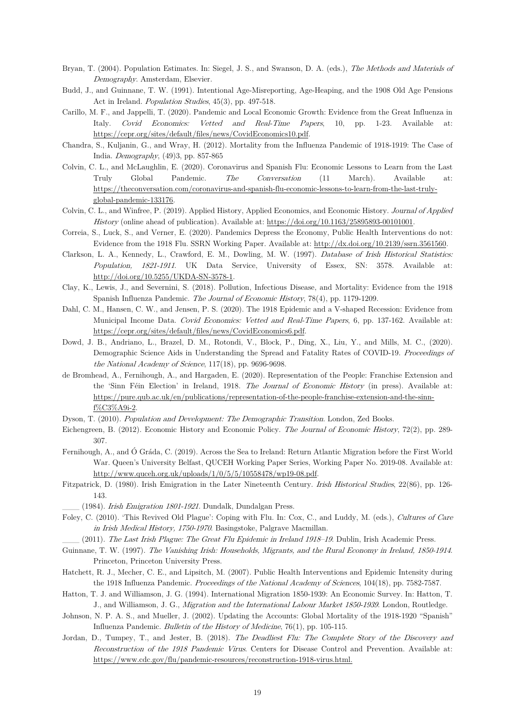- Bryan, T. (2004). Population Estimates. In: Siegel, J. S., and Swanson, D. A. (eds.), The Methods and Materials of Demography. Amsterdam, Elsevier.
- Budd, J., and Guinnane, T. W. (1991). Intentional Age-Misreporting, Age-Heaping, and the 1908 Old Age Pensions Act in Ireland. *Population Studies*, 45(3), pp. 497-518.
- Carillo, M. F., and Jappelli, T. (2020). Pandemic and Local Economic Growth: Evidence from the Great Influenza in Italy. Covid Economics: Vetted and Real-Time Papers, 10, pp. 1-23. Available [https://cepr.org/sites/default/files/news/CovidEconomics10.pdf.](https://cepr.org/sites/default/files/news/CovidEconomics10.pdf)
- Chandra, S., Kuljanin, G., and Wray, H. (2012). Mortality from the Influenza Pandemic of 1918-1919: The Case of India. Demography, (49)3, pp. 857-865
- Colvin, C. L., and McLaughlin, E. (2020). Coronavirus and Spanish Flu: Economic Lessons to Learn from the Last Truly Global Pandemic. The Conversation (11 March). Available at: [https://theconversation.com/coronavirus-and-spanish-flu-economic-lessons-to-learn-from-the-last-truly](https://theconversation.com/coronavirus-and-spanish-flu-economic-lessons-to-learn-from-the-last-truly-global-pandemic-133176)[global-pandemic-133176.](https://theconversation.com/coronavirus-and-spanish-flu-economic-lessons-to-learn-from-the-last-truly-global-pandemic-133176)
- Colvin, C. L., and Winfree, P. (2019). Applied History, Applied Economics, and Economic History. Journal of Applied History (online ahead of publication). Available at: [https://doi.org/10.1163/25895893-00101001.](https://doi.org/10.1163/25895893-00101001)
- Correia, S., Luck, S., and Verner, E. (2020). Pandemics Depress the Economy, Public Health Interventions do not: Evidence from the 1918 Flu. SSRN Working Paper. Available at: [http://dx.doi.org/10.2139/ssrn.3561560.](http://dx.doi.org/10.2139/ssrn.3561560)
- Clarkson, L. A., Kennedy, L., Crawford, E. M., Dowling, M. W. (1997). Database of Irish Historical Statistics: Population, 1821-1911. UK Data Service, University of Essex, SN: 3578. Available at: [http://doi.org/10.5255/UKDA-SN-3578-1.](http://doi.org/10.5255/UKDA-SN-3578-1)
- Clay, K., Lewis, J., and Severnini, S. (2018). Pollution, Infectious Disease, and Mortality: Evidence from the 1918 Spanish Influenza Pandemic. The Journal of Economic History, 78(4), pp. 1179-1209.
- Dahl, C. M., Hansen, C. W., and Jensen, P. S. (2020). The 1918 Epidemic and a V-shaped Recession: Evidence from Municipal Income Data. Covid Economics: Vetted and Real-Time Papers, 6, pp. 137-162. Available at: [https://cepr.org/sites/default/files/news/CovidEconomics6.pdf.](https://cepr.org/sites/default/files/news/CovidEconomics6.pdf)
- Dowd, J. B., Andriano, L., Brazel, D. M., Rotondi, V., Block, P., Ding, X., Liu, Y., and Mills, M. C., (2020). Demographic Science Aids in Understanding the Spread and Fatality Rates of COVID-19. Proceedings of the National Academy of Science, 117(18), pp. 9696-9698.
- de Bromhead, A., Fernihough, A., and Hargaden, E. (2020). Representation of the People: Franchise Extension and the 'Sinn Féin Election' in Ireland, 1918. The Journal of Economic History (in press). Available at: [https://pure.qub.ac.uk/en/publications/representation-of-the-people-franchise-extension-and-the-sinn](https://pure.qub.ac.uk/en/publications/representation-of-the-people-franchise-extension-and-the-sinn-f%C3%A9i-2)[f%C3%A9i-2.](https://pure.qub.ac.uk/en/publications/representation-of-the-people-franchise-extension-and-the-sinn-f%C3%A9i-2)

Dyson, T. (2010). Population and Development: The Demographic Transition. London, Zed Books.

- Eichengreen, B. (2012). Economic History and Economic Policy. The Journal of Economic History, 72(2), pp. 289- 307.
- Fernihough, A., and Ó Gráda, C. (2019). Across the Sea to Ireland: Return Atlantic Migration before the First World War. Queen's University Belfast, QUCEH Working Paper Series, Working Paper No. 2019-08. Available at: [http://www.quceh.org.uk/uploads/1/0/5/5/10558478/wp19-08.pdf.](http://www.quceh.org.uk/uploads/1/0/5/5/10558478/wp19-08.pdf)
- Fitzpatrick, D. (1980). Irish Emigration in the Later Nineteenth Century. Irish Historical Studies, 22(86), pp. 126- 143.
	- (1984). Irish Emigration 1801-1921. Dundalk, Dundalgan Press.
- Foley, C. (2010). 'This Revived Old Plague': Coping with Flu. In: Cox, C., and Luddy, M. (eds.), Cultures of Care in Irish Medical History, 1750-1970. Basingstoke, Palgrave Macmillan.
- (2011). The Last Irish Plague: The Great Flu Epidemic in Ireland 1918–19. Dublin, Irish Academic Press.
- Guinnane, T. W. (1997). The Vanishing Irish: Households, Migrants, and the Rural Economy in Ireland, 1850-1914. Princeton, Princeton University Press.
- Hatchett, R. J., Mecher, C. E., and Lipsitch, M. (2007). Public Health Interventions and Epidemic Intensity during the 1918 Influenza Pandemic. Proceedings of the National Academy of Sciences, 104(18), pp. 7582-7587.
- Hatton, T. J. and Williamson, J. G. (1994). International Migration 1850-1939: An Economic Survey. In: Hatton, T. J., and Williamson, J. G., Migration and the International Labour Market 1850-1939. London, Routledge.
- Johnson, N. P. A. S., and Mueller, J. (2002). Updating the Accounts: Global Mortality of the 1918-1920 "Spanish" Influenza Pandemic. Bulletin of the History of Medicine, 76(1), pp. 105-115.
- Jordan, D., Tumpey, T., and Jester, B. (2018). The Deadliest Flu: The Complete Story of the Discovery and Reconstruction of the 1918 Pandemic Virus. Centers for Disease Control and Prevention. Available at: <https://www.cdc.gov/flu/pandemic-resources/reconstruction-1918-virus.html.>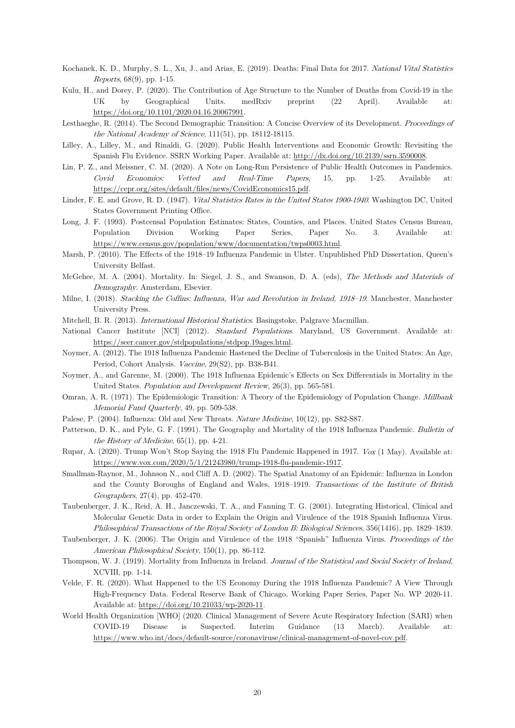- Kochanek, K. D., Murphy, S. L., Xu, J., and Arias, E. (2019). Deaths: Final Data for 2017. National Vital Statistics Reports, 68(9), pp. 1-15.
- Kulu, H., and Dorey, P. (2020). The Contribution of Age Structure to the Number of Deaths from Covid-19 in the UK by Geographical Units. medRxiv preprint (22 April). Available at: [https://doi.org/10.1101/2020.04.16.20067991.](https://doi.org/10.1101/2020.04.16.20067991)
- Lesthaeghe, R. (2014). The Second Demographic Transition: A Concise Overview of its Development. Proceedings of the National Academy of Science, 111(51), pp. 18112-18115.
- Lilley, A., Lilley, M., and Rinaldi, G. (2020). Public Health Interventions and Economic Growth: Revisiting the Spanish Flu Evidence. SSRN Working Paper. Available at: [http://dx.doi.org/10.2139/ssrn.3590008.](https://dx.doi.org/10.2139/ssrn.3590008)
- Lin, P. Z., and Meissner, C. M. (2020). A Note on Long-Run Persistence of Public Health Outcomes in Pandemics. Covid Economics: Vetted and Real-Time Papers, 15, pp. 1-25. Available at: [https://cepr.org/sites/default/files/news/CovidEconomics15.pdf.](https://cepr.org/sites/default/files/news/CovidEconomics15.pdf)
- Linder, F. E. and Grove, R. D. (1947). Vital Statistics Rates in the United States 1900-1940. Washington DC, United States Government Printing Office.
- Long, J. F. (1993). Postcensal Population Estimates: States, Counties, and Places. United States Census Bureau, Population Division Working Paper Series, Paper No. 3. Available at: [https://www.census.gov/population/www/documentation/twps0003.html.](https://www.census.gov/population/www/documentation/twps0003.html)
- Marsh, P. (2010). The Effects of the 1918–19 Influenza Pandemic in Ulster. Unpublished PhD Dissertation, Queen's University Belfast.
- McGehee, M. A. (2004). Mortality. In: Siegel, J. S., and Swanson, D. A. (eds), The Methods and Materials of Demography. Amsterdam, Elsevier.
- Milne, I. (2018). Stacking the Coffins: Influenza, War and Revolution in Ireland, 1918–19. Manchester, Manchester University Press.
- Mitchell, B. R. (2013). International Historical Statistics. Basingstoke, Palgrave Macmillan.
- National Cancer Institute [NCI] (2012). Standard Populations. Maryland, US Government. Available at: [https://seer.cancer.gov/stdpopulations/stdpop.19ages.html.](https://seer.cancer.gov/stdpopulations/stdpop.19ages.html)
- Noymer, A. (2012). The 1918 Influenza Pandemic Hastened the Decline of Tuberculosis in the United States: An Age, Period, Cohort Analysis. Vaccine, 29(S2), pp. B38-B41.
- Noymer, A., and Garenne, M. (2000). The 1918 Influenza Epidemic's Effects on Sex Differentials in Mortality in the United States. Population and Development Review, 26(3), pp. 565-581.
- Omran, A. R. (1971). The Epidemiologic Transition: A Theory of the Epidemiology of Population Change. Millbank Memorial Fund Quarterly, 49, pp. 509-538.
- Palese, P. (2004). Influenza: Old and New Threats. Nature Medicine, 10(12), pp. S82-S87.
- Patterson, D. K., and Pyle, G. F. (1991). The Geography and Mortality of the 1918 Influenza Pandemic. Bulletin of the History of Medicine, 65(1), pp. 4-21.
- Rupar, A. (2020). Trump Won't Stop Saying the 1918 Flu Pandemic Happened in 1917. Vox (1 May). Available at: [https://www.vox.com/2020/5/1/21243980/trump-1918-flu-pandemic-1917.](https://www.vox.com/2020/5/1/21243980/trump-1918-flu-pandemic-1917)
- Smallman-Raynor, M., Johnson N., and Cliff A. D. (2002). The Spatial Anatomy of an Epidemic: Influenza in London and the County Boroughs of England and Wales, 1918–1919. Transactions of the Institute of British Geographers, 27(4), pp. 452-470.
- Taubenberger, J. K., Reid, A. H., Janczewski, T. A., and Fanning T. G. (2001). Integrating Historical, Clinical and Molecular Genetic Data in order to Explain the Origin and Virulence of the 1918 Spanish Influenza Virus. Philosophical Transactions of the Royal Society of London B: Biological Sciences, 356(1416), pp. 1829–1839.
- Taubenberger, J. K. (2006). The Origin and Virulence of the 1918 "Spanish" Influenza Virus. Proceedings of the American Philosophical Society, 150(1), pp. 86-112.
- Thompson, W. J. (1919). Mortality from Influenza in Ireland. Journal of the Statistical and Social Society of Ireland, XCVIII, pp. 1-14.
- Velde, F. R. (2020). What Happened to the US Economy During the 1918 Influenza Pandemic? A View Through High-Frequency Data. Federal Reserve Bank of Chicago, Working Paper Series, Paper No. WP 2020-11. Available at: [https://doi.org/10.21033/wp-2020-11.](https://doi.org/10.21033/wp-2020-11)
- World Health Organization [WHO] (2020. Clinical Management of Severe Acute Respiratory Infection (SARI) when COVID-19 Disease is Suspected. Interim Guidance (13 March). Available at: [https://www.who.int/docs/default-source/coronaviruse/clinical-management-of-novel-cov.pdf.](https://www.who.int/docs/default-source/coronaviruse/clinical-management-of-novel-cov.pdf)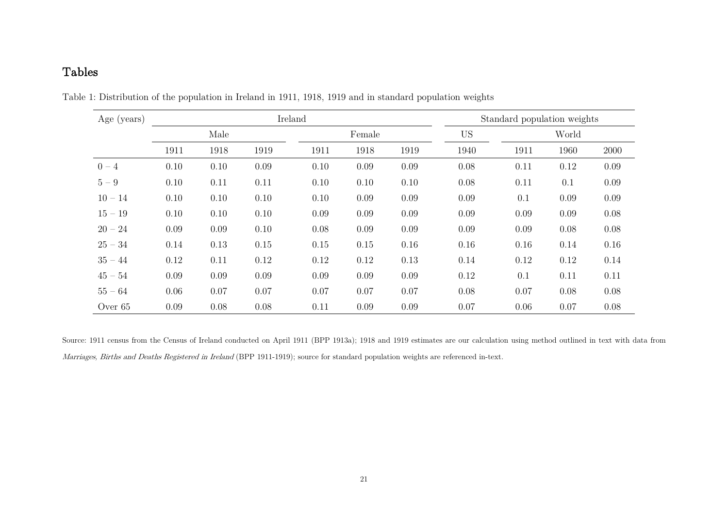## Tables

| Age (years) |      |      |      | Ireland |        | Standard population weights |      |      |       |      |
|-------------|------|------|------|---------|--------|-----------------------------|------|------|-------|------|
|             | Male |      |      |         | Female |                             |      |      | World |      |
|             | 1911 | 1918 | 1919 | 1911    | 1918   | 1919                        | 1940 | 1911 | 1960  | 2000 |
| $0 - 4$     | 0.10 | 0.10 | 0.09 | 0.10    | 0.09   | 0.09                        | 0.08 | 0.11 | 0.12  | 0.09 |
| $5-9$       | 0.10 | 0.11 | 0.11 | 0.10    | 0.10   | 0.10                        | 0.08 | 0.11 | 0.1   | 0.09 |
| $10 - 14$   | 0.10 | 0.10 | 0.10 | 0.10    | 0.09   | 0.09                        | 0.09 | 0.1  | 0.09  | 0.09 |
| $15 - 19$   | 0.10 | 0.10 | 0.10 | 0.09    | 0.09   | 0.09                        | 0.09 | 0.09 | 0.09  | 0.08 |
| $20 - 24$   | 0.09 | 0.09 | 0.10 | 0.08    | 0.09   | 0.09                        | 0.09 | 0.09 | 0.08  | 0.08 |
| $25 - 34$   | 0.14 | 0.13 | 0.15 | 0.15    | 0.15   | 0.16                        | 0.16 | 0.16 | 0.14  | 0.16 |
| $35 - 44$   | 0.12 | 0.11 | 0.12 | 0.12    | 0.12   | 0.13                        | 0.14 | 0.12 | 0.12  | 0.14 |
| $45 - 54$   | 0.09 | 0.09 | 0.09 | 0.09    | 0.09   | 0.09                        | 0.12 | 0.1  | 0.11  | 0.11 |
| $55 - 64$   | 0.06 | 0.07 | 0.07 | 0.07    | 0.07   | 0.07                        | 0.08 | 0.07 | 0.08  | 0.08 |
| Over 65     | 0.09 | 0.08 | 0.08 | 0.11    | 0.09   | 0.09                        | 0.07 | 0.06 | 0.07  | 0.08 |

Table 1: Distribution of the population in Ireland in 1911, 1918, 1919 and in standard population weights

<span id="page-21-1"></span><span id="page-21-0"></span>Source: 1911 census from the Census of Ireland conducted on April 1911 (BPP 1913a); 1918 and 1919 estimates are our calculation using method outlined in text with data from Marriages, Births and Deaths Registered in Ireland (BPP 1911-1919); source for standard population weights are referenced in-text.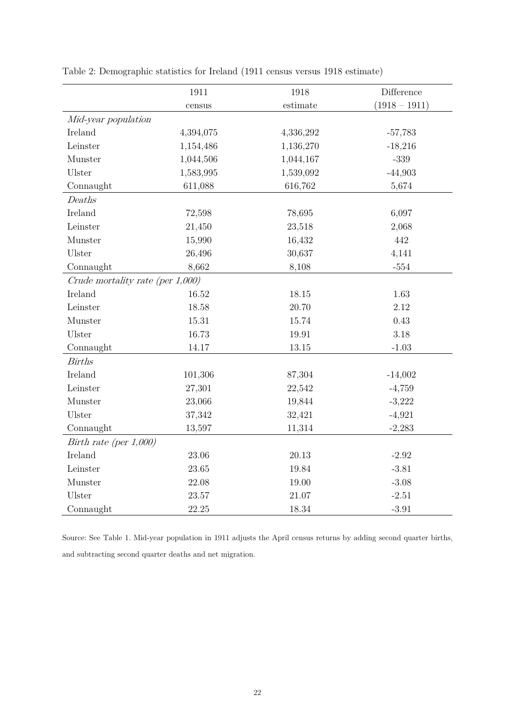|                                  | 1911      | 1918       | Difference      |  |  |  |  |  |  |
|----------------------------------|-----------|------------|-----------------|--|--|--|--|--|--|
|                                  | census    | $estimate$ | $(1918 - 1911)$ |  |  |  |  |  |  |
| Mid-year population              |           |            |                 |  |  |  |  |  |  |
| Ireland                          | 4,394,075 | 4,336,292  | $-57,783$       |  |  |  |  |  |  |
| Leinster                         | 1,154,486 | 1,136,270  | $-18,216$       |  |  |  |  |  |  |
| Munster                          | 1,044,506 | 1,044,167  | $-339$          |  |  |  |  |  |  |
| Ulster                           | 1,583,995 | 1,539,092  | $-44,903$       |  |  |  |  |  |  |
| Connaught                        | 611,088   | 616,762    | 5,674           |  |  |  |  |  |  |
| Deaths                           |           |            |                 |  |  |  |  |  |  |
| <b>Ireland</b>                   | 72,598    | 78,695     | 6,097           |  |  |  |  |  |  |
| Leinster                         | 21,450    | 23,518     | 2,068           |  |  |  |  |  |  |
| Munster                          | 15,990    | 16,432     | 442             |  |  |  |  |  |  |
| Ulster                           | 26,496    | 30,637     | 4,141           |  |  |  |  |  |  |
| Connaught                        | 8,662     | 8,108      | $-554$          |  |  |  |  |  |  |
| Crude mortality rate (per 1,000) |           |            |                 |  |  |  |  |  |  |
| Ireland                          | 16.52     | 18.15      | 1.63            |  |  |  |  |  |  |
| Leinster                         | 18.58     | 20.70      | 2.12            |  |  |  |  |  |  |
| Munster                          | 15.31     | 15.74      | 0.43            |  |  |  |  |  |  |
| Ulster                           | 16.73     | 19.91      | 3.18            |  |  |  |  |  |  |
| Connaught                        | 14.17     | 13.15      | $-1.03$         |  |  |  |  |  |  |
| <b>Births</b>                    |           |            |                 |  |  |  |  |  |  |
| Ireland                          | 101,306   | 87,304     | $-14,002$       |  |  |  |  |  |  |
| Leinster                         | 27,301    | 22,542     | $-4,759$        |  |  |  |  |  |  |
| Munster                          | 23,066    | 19,844     | $-3,222$        |  |  |  |  |  |  |
| Ulster                           | 37,342    | 32,421     | $-4,921$        |  |  |  |  |  |  |
| Connaught                        | 13,597    | 11,314     | $-2,283$        |  |  |  |  |  |  |
| Birth rate (per $1,000$ )        |           |            |                 |  |  |  |  |  |  |
| Ireland                          | 23.06     | 20.13      | $-2.92$         |  |  |  |  |  |  |
| Leinster                         | 23.65     | 19.84      | $-3.81$         |  |  |  |  |  |  |
| Munster                          | 22.08     | 19.00      | $-3.08$         |  |  |  |  |  |  |
| Ulster                           | 23.57     | 21.07      | $-2.51$         |  |  |  |  |  |  |
| Connaught                        | 22.25     | 18.34      | $-3.91$         |  |  |  |  |  |  |

<span id="page-22-0"></span>Table 2: Demographic statistics for Ireland (1911 census versus 1918 estimate)

Source: See Table 1. Mid-year population in 1911 adjusts the April census returns by adding second quarter births, and subtracting second quarter deaths and net migration.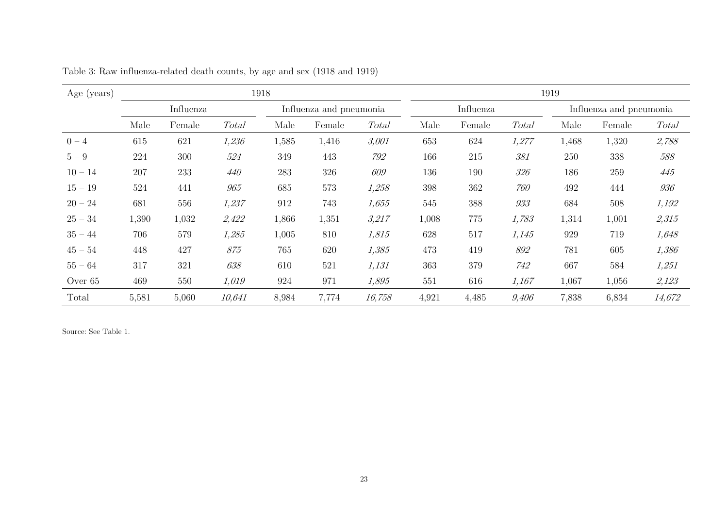| Age (years) |       |           |              | 1918  |                         |              | 1919  |           |       |       |                         |        |  |
|-------------|-------|-----------|--------------|-------|-------------------------|--------------|-------|-----------|-------|-------|-------------------------|--------|--|
|             |       | Influenza |              |       | Influenza and pneumonia |              |       | Influenza |       |       | Influenza and pneumonia |        |  |
|             | Male  | Female    | <b>Total</b> | Male  | Female                  | <b>Total</b> | Male  | Female    | Total | Male  | Female                  | Total  |  |
| $0 - 4$     | 615   | 621       | 1,236        | 1,585 | 1,416                   | 3,001        | 653   | 624       | 1,277 | 1,468 | 1,320                   | 2,788  |  |
| $5-9$       | 224   | 300       | 524          | 349   | 443                     | 792          | 166   | 215       | 381   | 250   | 338                     | 588    |  |
| $10 - 14$   | 207   | 233       | 440          | 283   | 326                     | 609          | 136   | 190       | 326   | 186   | 259                     | 445    |  |
| $15 - 19$   | 524   | 441       | 965          | 685   | 573                     | 1,258        | 398   | 362       | 760   | 492   | 444                     | 936    |  |
| $20 - 24$   | 681   | 556       | 1,237        | 912   | 743                     | 1,655        | 545   | 388       | 933   | 684   | 508                     | 1,192  |  |
| $25 - 34$   | 1,390 | 1,032     | 2,422        | 1,866 | 1,351                   | 3,217        | 1,008 | 775       | 1,783 | 1,314 | 1,001                   | 2,315  |  |
| $35 - 44$   | 706   | 579       | 1,285        | 1,005 | 810                     | 1,815        | 628   | 517       | 1,145 | 929   | 719                     | 1,648  |  |
| $45 - 54$   | 448   | 427       | 875          | 765   | 620                     | 1,385        | 473   | 419       | 892   | 781   | 605                     | 1,386  |  |
| $55 - 64$   | 317   | 321       | 638          | 610   | 521                     | 1,131        | 363   | 379       | 742   | 667   | 584                     | 1,251  |  |
| Over 65     | 469   | 550       | 1,019        | 924   | 971                     | 1,895        | 551   | 616       | 1,167 | 1,067 | 1,056                   | 2,123  |  |
| Total       | 5,581 | 5,060     | 10,641       | 8,984 | 7,774                   | 16,758       | 4,921 | 4,485     | 9,406 | 7,838 | 6,834                   | 14,672 |  |

Table 3: Raw influenza-related death counts, by age and sex (1918 and 1919)

Source: See Table 1.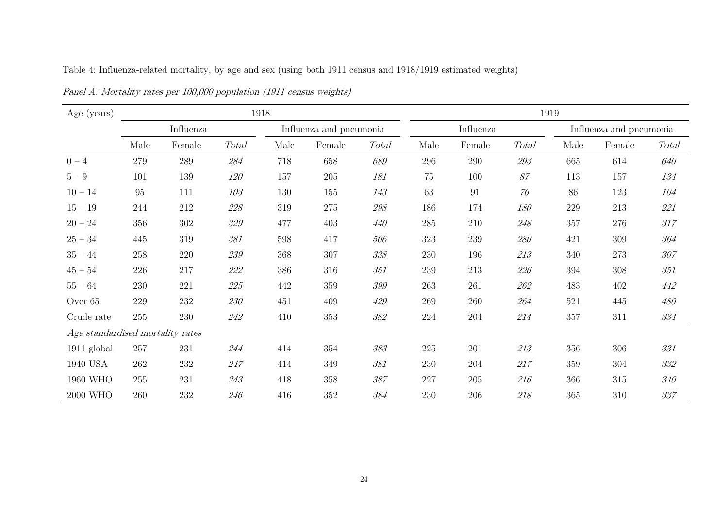<span id="page-24-1"></span><span id="page-24-0"></span>

| Age (years)                      |         |           |         | 1918 |                         |         | 1919    |           |              |         |                         |         |  |
|----------------------------------|---------|-----------|---------|------|-------------------------|---------|---------|-----------|--------------|---------|-------------------------|---------|--|
|                                  |         | Influenza |         |      | Influenza and pneumonia |         |         | Influenza |              |         | Influenza and pneumonia |         |  |
|                                  | Male    | Female    | Total   | Male | Female                  | Total   | Male    | Female    | <b>Total</b> | Male    | Female                  | Total   |  |
| $0 - 4$                          | 279     | $289\,$   | 284     | 718  | 658                     | 689     | 296     | 290       | 293          | 665     | 614                     | 640     |  |
| $5-9$                            | 101     | 139       | 120     | 157  | $205\,$                 | 181     | 75      | 100       | 87           | 113     | 157                     | 134     |  |
| $10 - 14$                        | 95      | 111       | 103     | 130  | 155                     | 143     | 63      | 91        | 76           | 86      | 123                     | 104     |  |
| $15 - 19$                        | 244     | $212\,$   | 228     | 319  | 275                     | 298     | 186     | 174       | 180          | 229     | 213                     | 221     |  |
| $20 - 24$                        | 356     | $302\,$   | 329     | 477  | 403                     | $440\,$ | $285\,$ | 210       | 248          | 357     | 276                     | 317     |  |
| $25 - 34$                        | 445     | $319\,$   | 381     | 598  | 417                     | 506     | $323\,$ | 239       | 280          | 421     | 309                     | 364     |  |
| $35 - 44$                        | 258     | $220\,$   | 239     | 368  | $307\,$                 | $338\,$ | 230     | 196       | 213          | 340     | 273                     | 307     |  |
| $45 - 54$                        | $226\,$ | $217\,$   | $222\,$ | 386  | 316                     | 351     | 239     | $213\,$   | $226\,$      | $394\,$ | 308                     | 351     |  |
| $55 - 64$                        | 230     | 221       | $225\,$ | 442  | 359                     | $399\,$ | 263     | 261       | 262          | 483     | 402                     | 442     |  |
| Over 65                          | 229     | $232\,$   | $230\,$ | 451  | 409                     | $429\,$ | 269     | 260       | 264          | 521     | 445                     | $480\,$ |  |
| Crude rate                       | 255     | $230\,$   | 242     | 410  | 353                     | 382     | 224     | 204       | 214          | 357     | 311                     | $334\,$ |  |
| Age standardised mortality rates |         |           |         |      |                         |         |         |           |              |         |                         |         |  |
| 1911 global                      | 257     | $231\,$   | 244     | 414  | 354                     | $383\,$ | $225\,$ | 201       | 213          | 356     | 306                     | 331     |  |
| 1940 USA                         | 262     | $232\,$   | 247     | 414  | 349                     | $381\,$ | 230     | 204       | 217          | 359     | 304                     | 332     |  |
| 1960 WHO                         | 255     | 231       | 243     | 418  | 358                     | $387\,$ | 227     | 205       | 216          | 366     | 315                     | 340     |  |
| 2000 WHO                         | 260     | $232\,$   | 246     | 416  | 352                     | $384\,$ | 230     | 206       | 218          | 365     | 310                     | $337\,$ |  |

Table 4: Influenza-related mortality, by age and sex (using both 1911 census and 1918/1919 estimated weights)

Panel A: Mortality rates per 100,000 population (1911 census weights)

24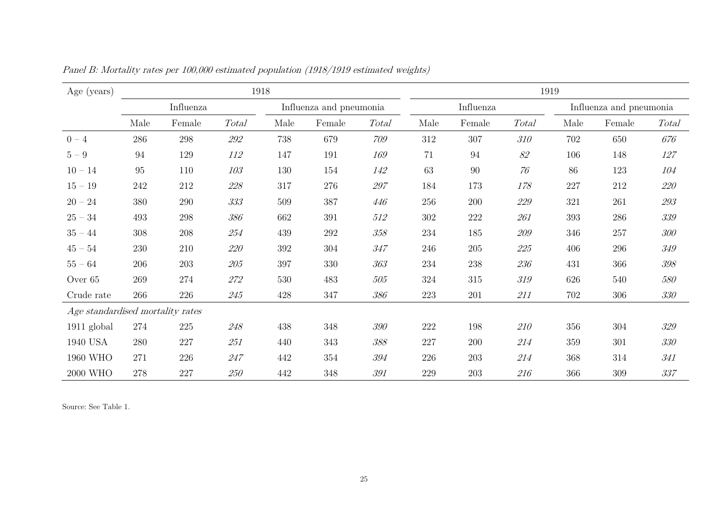| Age (years)                      |      |           |         | 1918    |                         |         | 1919    |            |         |      |                         |              |  |
|----------------------------------|------|-----------|---------|---------|-------------------------|---------|---------|------------|---------|------|-------------------------|--------------|--|
|                                  |      | Influenza |         |         | Influenza and pneumonia |         |         | Influenza  |         |      | Influenza and pneumonia |              |  |
|                                  | Male | Female    | Total   | Male    | Female                  | Total   | Male    | Female     | Total   | Male | Female                  | <b>Total</b> |  |
| $0 - 4$                          | 286  | $298\,$   | $292\,$ | 738     | 679                     | 709     | 312     | $307\,$    | 310     | 702  | 650                     | 676          |  |
| $5-9$                            | 94   | 129       | 112     | 147     | 191                     | 169     | 71      | 94         | 82      | 106  | 148                     | 127          |  |
| $10 - 14$                        | 95   | 110       | 103     | 130     | 154                     | 142     | 63      | $90\,$     | 76      | 86   | 123                     | 104          |  |
| $15 - 19$                        | 242  | $212\,$   | $228\,$ | $317\,$ | 276                     | $297\,$ | 184     | 173        | 178     | 227  | 212                     | 220          |  |
| $20 - 24$                        | 380  | $\,290$   | 333     | 509     | 387                     | 446     | 256     | <b>200</b> | $229\,$ | 321  | 261                     | $293\,$      |  |
| $25 - 34$                        | 493  | $298\,$   | 386     | 662     | 391                     | 512     | $302\,$ | $222\,$    | 261     | 393  | 286                     | $339\,$      |  |
| $35 - 44$                        | 308  | 208       | $254\,$ | 439     | $\,292$                 | $358\,$ | 234     | 185        | 209     | 346  | $257\,$                 | 300          |  |
| $45 - 54$                        | 230  | 210       | $220\,$ | 392     | 304                     | 347     | 246     | $205\,$    | $225\,$ | 406  | 296                     | 349          |  |
| $55 - 64$                        | 206  | 203       | $205\,$ | $397\,$ | 330                     | 363     | 234     | 238        | 236     | 431  | 366                     | $398\,$      |  |
| Over 65                          | 269  | 274       | $272\,$ | 530     | 483                     | $505\,$ | 324     | 315        | 319     | 626  | 540                     | 580          |  |
| Crude rate                       | 266  | 226       | $245\,$ | 428     | 347                     | 386     | $223\,$ | 201        | 211     | 702  | 306                     | $330\,$      |  |
| Age standardised mortality rates |      |           |         |         |                         |         |         |            |         |      |                         |              |  |
| 1911 global                      | 274  | $225\,$   | 248     | 438     | 348                     | $390\,$ | $222\,$ | 198        | 210     | 356  | 304                     | $329\,$      |  |
| 1940 USA                         | 280  | $227\,$   | 251     | 440     | 343                     | $388\,$ | $227\,$ | 200        | 214     | 359  | 301                     | 330          |  |
| 1960 WHO                         | 271  | $226\,$   | 247     | 442     | $354\,$                 | $394\,$ | 226     | 203        | 214     | 368  | 314                     | 341          |  |
| 2000 WHO                         | 278  | 227       | 250     | 442     | 348                     | $391\,$ | $229\,$ | $203\,$    | 216     | 366  | 309                     | $337\,$      |  |

Panel B: Mortality rates per 100,000 estimated population (1918/1919 estimated weights)

<span id="page-25-0"></span>Source: See Table 1.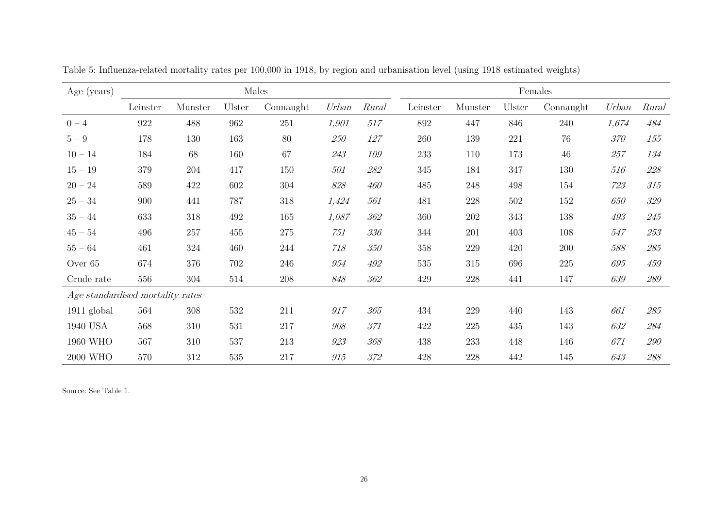| Age (years)                      |          |         |        | Males     |                                     |         |          |         |        | Females   |         |         |
|----------------------------------|----------|---------|--------|-----------|-------------------------------------|---------|----------|---------|--------|-----------|---------|---------|
|                                  | Leinster | Munster | Ulster | Connaught | Urban                               | Rural   | Leinster | Munster | Ulster | Connaught | Urban   | Rural   |
| $0 - 4$                          | 922      | 488     | 962    | 251       | 1,901                               | $517\,$ | 892      | 447     | 846    | 240       | 1,674   | 484     |
| $5-9$                            | 178      | 130     | 163    | 80        | 250                                 | 127     | 260      | 139     | 221    | 76        | $370\,$ | 155     |
| $10 - 14$                        | 184      | 68      | 160    | 67        | 243                                 | 109     | 233      | 110     | 173    | $46\,$    | $257\,$ | 134     |
| $15 - 19$                        | 379      | $204\,$ | 417    | 150       | 501                                 | 282     | 345      | 184     | 347    | 130       | 516     | $228\,$ |
| $20 - 24$                        | 589      | 422     | 602    | $304\,$   | 828                                 | $460\,$ | 485      | 248     | 498    | 154       | 723     | $315\,$ |
| $25 - 34$                        | 900      | 441     | 787    | 318       | 1,424                               | 561     | 481      | 228     | 502    | 152       | 650     | 329     |
| $35 - 44$                        | 633      | 318     | 492    | 165       | 1,087                               | 362     | 360      | 202     | 343    | 138       | $493\,$ | $245\,$ |
| $45 - 54$                        | 496      | 257     | 455    | 275       | 751                                 | 336     | 344      | $201\,$ | 403    | 108       | $547\,$ | 253     |
| $55 - 64$                        | 461      | 324     | 460    | 244       | 718                                 | 350     | 358      | 229     | 420    | $200\,$   | 588     | 285     |
| Over 65                          | 674      | 376     | 702    | 246       | $\mathcal{G}\mathcal{S}\mathcal{A}$ | 492     | 535      | 315     | 696    | $225\,$   | 695     | 459     |
| Crude rate                       | 556      | 304     | 514    | 208       | 848                                 | 362     | 429      | 228     | 441    | 147       | 639     | 289     |
| Age standardised mortality rates |          |         |        |           |                                     |         |          |         |        |           |         |         |
| 1911 global                      | 564      | 308     | 532    | 211       | 917                                 | 365     | 434      | 229     | 440    | 143       | 661     | 285     |
| 1940 USA                         | 568      | 310     | 531    | 217       | 908                                 | $371\,$ | 422      | $225\,$ | 435    | 143       | 632     | 284     |
| 1960 WHO                         | 567      | 310     | 537    | 213       | 923                                 | 368     | 438      | 233     | 448    | 146       | 671     | 290     |
| 2000 WHO                         | 570      | 312     | 535    | 217       | 915                                 | 372     | 428      | 228     | 442    | 145       | 643     | 288     |

Table 5: Influenza-related mortality rates per 100,000 in 1918, by region and urbanisation level (using 1918 estimated weights)

<span id="page-26-0"></span>Source: See Table 1.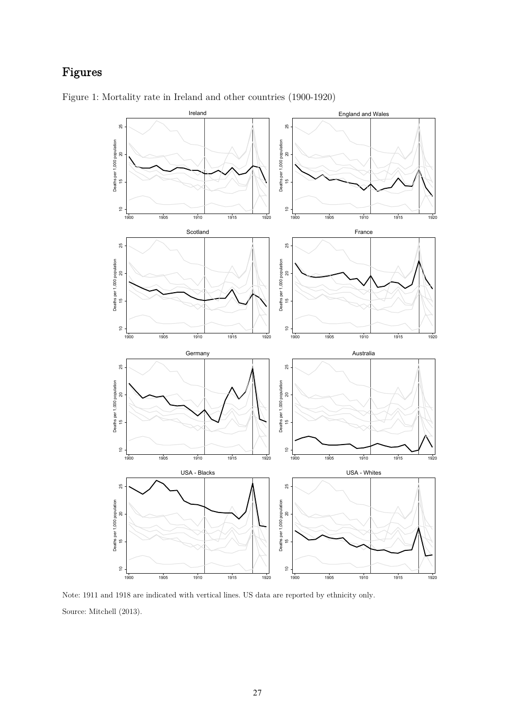## <span id="page-27-0"></span>Figures



<span id="page-27-1"></span>Figure 1: Mortality rate in Ireland and other countries (1900-1920)

Note: 1911 and 1918 are indicated with vertical lines. US data are reported by ethnicity only. Source: Mitchell (2013).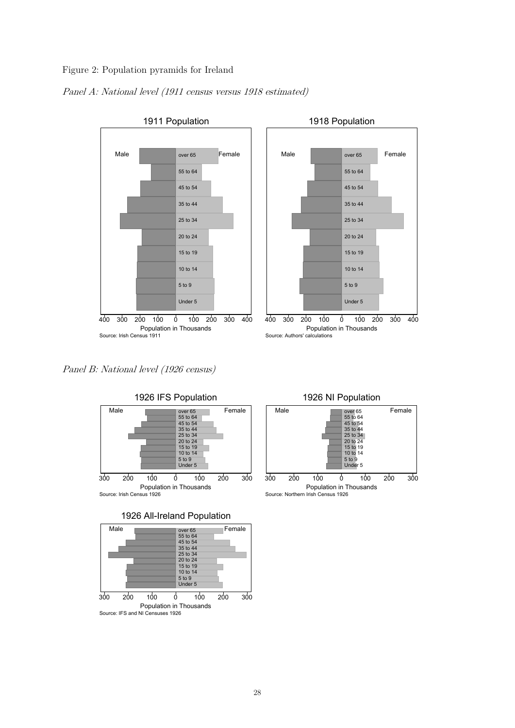#### <span id="page-28-0"></span>Figure 2: Population pyramids for Ireland

#### <span id="page-28-1"></span>Panel A: National level (1911 census versus 1918 estimated)

![](_page_28_Figure_2.jpeg)

![](_page_28_Figure_3.jpeg)

<span id="page-28-2"></span>Panel B: National level (1926 census)

![](_page_28_Figure_5.jpeg)

![](_page_28_Figure_6.jpeg)

![](_page_28_Figure_7.jpeg)

1926 NI Population

![](_page_28_Figure_9.jpeg)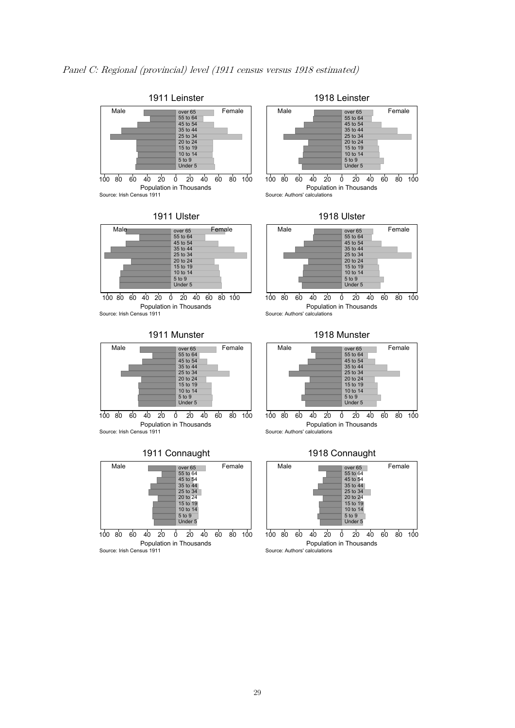<span id="page-29-0"></span>![](_page_29_Figure_1.jpeg)

Population in Thousands Source: Irish Census 1911

1911 Ulster

| Male |          | Female |
|------|----------|--------|
|      | over 65  |        |
|      | 55 to 64 |        |
|      | 45 to 54 |        |
|      | 35 to 44 |        |
|      | 25 to 34 |        |
|      | 20 to 24 |        |
|      | 15 to 19 |        |
|      | 10 to 14 |        |
|      | 5 to 9   |        |
|      | Under 5  |        |

100 80 60 40 20 0 20 40 60 80 100 Population in Thousands Source: Irish Census 1911

1911 Munster

![](_page_29_Figure_7.jpeg)

100 80 60 40 20 0 20 40 60 80 100 Population in Thousands

Source: Irish Census 1911

#### 1911 Connaught

|     | Male                    |    |    |    |   | over 65    |    |    | Female |     |
|-----|-------------------------|----|----|----|---|------------|----|----|--------|-----|
|     |                         |    |    |    |   | 55 to 64   |    |    |        |     |
|     |                         |    |    |    |   | 45 to 54   |    |    |        |     |
|     |                         |    |    |    |   | 35 to 44   |    |    |        |     |
|     |                         |    |    |    |   | 25 to 34   |    |    |        |     |
|     |                         |    |    |    |   | 20 to 24   |    |    |        |     |
|     |                         |    |    |    |   | 15 to 19   |    |    |        |     |
|     |                         |    |    |    |   | 10 to 14   |    |    |        |     |
|     |                         |    |    |    |   | $5$ to $9$ |    |    |        |     |
|     |                         |    |    |    |   | Under 5    |    |    |        |     |
|     |                         |    |    |    |   |            |    |    |        |     |
| 100 | 80                      | 60 | 40 | 20 | 0 | 20         | 40 | 60 | 80     | 100 |
|     | Population in Thousands |    |    |    |   |            |    |    |        |     |

Source: Irish Census 1911

1918 Leinster

![](_page_29_Figure_14.jpeg)

100 80 60 40 20 0 20 40 60 80 100 Population in Thousands Source: Authors' calculations

1918 Ulster

| Male |                    | Female |
|------|--------------------|--------|
|      | over <sub>65</sub> |        |
|      | 55 to 64           |        |
|      | 45 to 54           |        |
|      | 35 to 44           |        |
|      | 25 to 34           |        |
|      | 20 to 24           |        |
|      | 15 to 19           |        |
|      | 10 to 14           |        |
|      | 5 to 9             |        |
|      | Under 5            |        |
|      |                    |        |

100 80 60 40 20 0 20 40 60 80 100 Population in Thousands Source: Authors' calculations

1918 Munster

![](_page_29_Picture_20.jpeg)

![](_page_29_Figure_21.jpeg)

Source: Authors' calculations

1918 Connaught

| Male |          | Female |
|------|----------|--------|
|      | over 65  |        |
|      | 55 to 64 |        |
|      | 45 to 54 |        |
|      | 35 to 44 |        |
|      | 25 to 34 |        |
|      | 20 to 24 |        |
|      | 15 to 19 |        |
|      | 10 to 14 |        |
|      | 5 to 9   |        |
|      | Under 5  |        |
|      |          |        |
|      |          |        |

100 80 60 40 20 0 20 40 60 80 100 Population in Thousands Source: Authors' calculations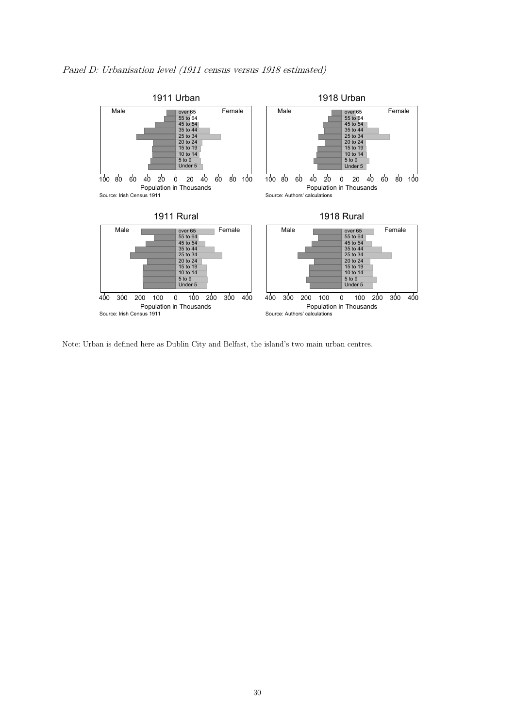<span id="page-30-0"></span>![](_page_30_Figure_1.jpeg)

Note: Urban is defined here as Dublin City and Belfast, the island's two main urban centres.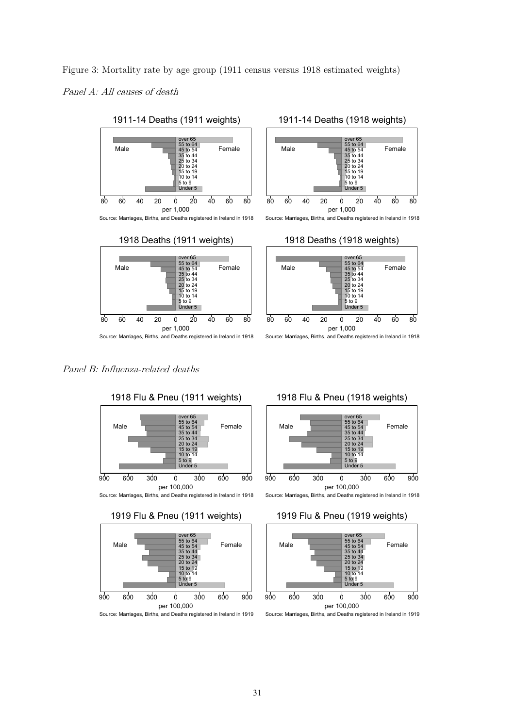<span id="page-31-1"></span><span id="page-31-0"></span>Figure 3: Mortality rate by age group (1911 census versus 1918 estimated weights) Panel A: All causes of death

![](_page_31_Figure_1.jpeg)

80 60 40 20 0 20 40 60 80 per 1,000 Source: Marriages, Births, and Deaths registered in Ireland in 1918 1911-14 Deaths (1918 weights)

![](_page_31_Figure_4.jpeg)

Source: Marriages, Births, and Deaths registered in Ireland in 1918

![](_page_31_Figure_6.jpeg)

Source: Marriages, Births, and Deaths registered in Ireland in 1918

#### <span id="page-31-2"></span>Panel B: Influenza-related deaths

![](_page_31_Figure_9.jpeg)

![](_page_31_Figure_10.jpeg)

1919 Flu & Pneu (1911 weights)

![](_page_31_Figure_12.jpeg)

#### 1918 Flu & Pneu (1918 weights)

![](_page_31_Figure_14.jpeg)

Source: Marriages, Births, and Deaths registered in Ireland in 1918

![](_page_31_Figure_16.jpeg)

![](_page_31_Figure_17.jpeg)

Source: Marriages, Births, and Deaths registered in Ireland in 1919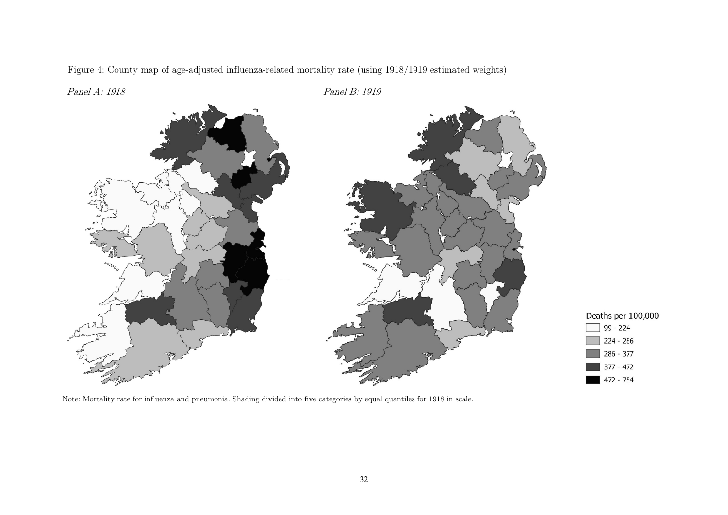Figure 4: County map of age-adjusted influenza-related mortality rate (using 1918/1919 estimated weights)

![](_page_32_Figure_2.jpeg)

<span id="page-32-0"></span>Note: Mortality rate for influenza and pneumonia. Shading divided into five categories by equal quantiles for 1918 in scale.

Deaths per 100,000 99 - 224 224 - 286 286 - 377  $377 - 472$ 472 - 754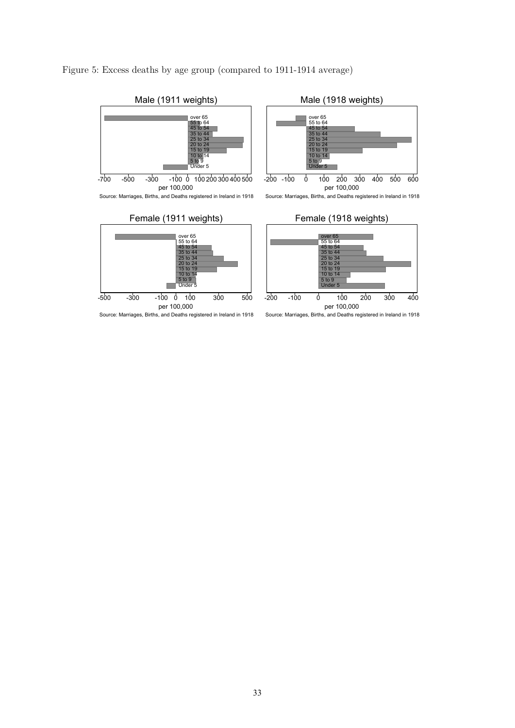<span id="page-33-0"></span>![](_page_33_Figure_0.jpeg)

![](_page_33_Figure_1.jpeg)

Source: Marriages, Births, and Deaths registered in Ireland in 1918

![](_page_33_Figure_3.jpeg)

![](_page_33_Figure_4.jpeg)

![](_page_33_Figure_5.jpeg)

Source: Marriages, Births, and Deaths registered in Ireland in 1918

Under 5 5 to 9 10 to 14  $\frac{20}{15}$  to  $\frac{21}{19}$ 20 to 24 25 to 34 35 to 44 45 to 54 55 to 64 over 65 -200 -100 0 100 200 300 400 per 100,000 Female (1918 weights)

Source: Marriages, Births, and Deaths registered in Ireland in 1918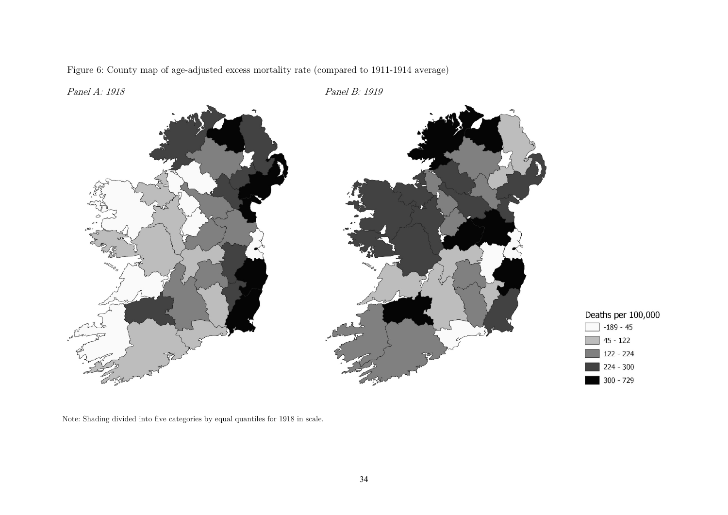Figure 6: County map of age-adjusted excess mortality rate (compared to 1911-1914 average)

Panel A: 1918 Panel B: 1919

![](_page_34_Figure_3.jpeg)

![](_page_34_Figure_4.jpeg)

![](_page_34_Figure_5.jpeg)

300 - 729

<span id="page-34-0"></span>Note: Shading divided into five categories by equal quantiles for 1918 in scale.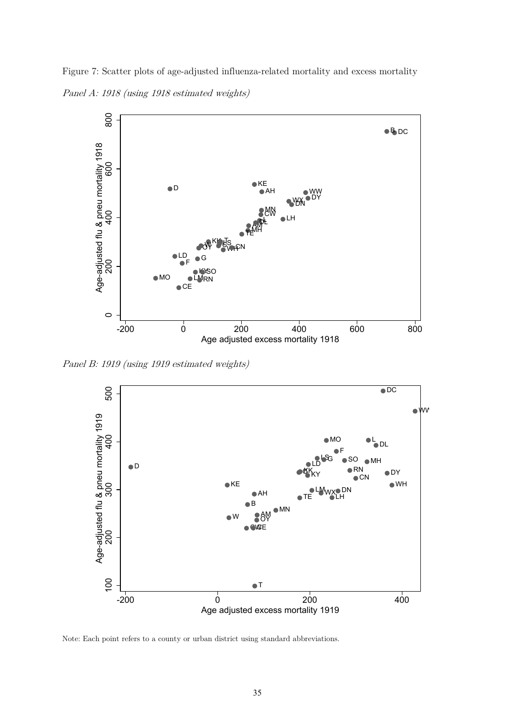<span id="page-35-0"></span>Figure 7: Scatter plots of age-adjusted influenza-related mortality and excess mortality Panel A: 1918 (using 1918 estimated weights)

![](_page_35_Figure_1.jpeg)

Panel B: 1919 (using 1919 estimated weights)

![](_page_35_Figure_3.jpeg)

Note: Each point refers to a county or urban district using standard abbreviations.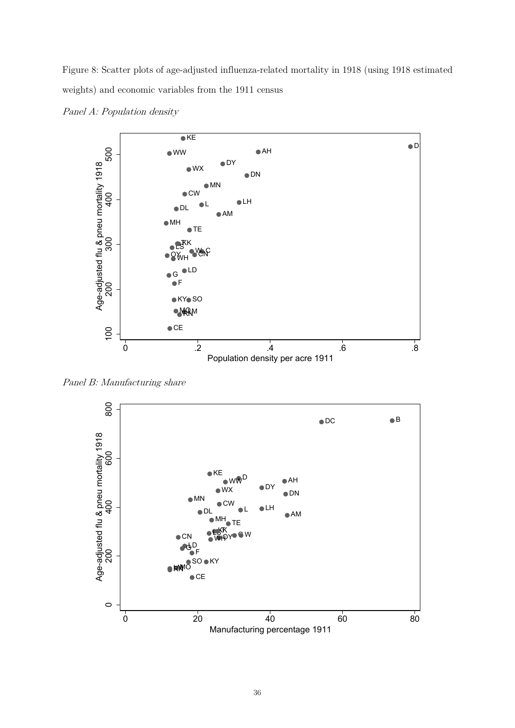<span id="page-36-0"></span>Figure 8: Scatter plots of age-adjusted influenza-related mortality in 1918 (using 1918 estimated weights) and economic variables from the 1911 census

![](_page_36_Figure_1.jpeg)

![](_page_36_Figure_2.jpeg)

Panel B: Manufacturing share

![](_page_36_Figure_4.jpeg)